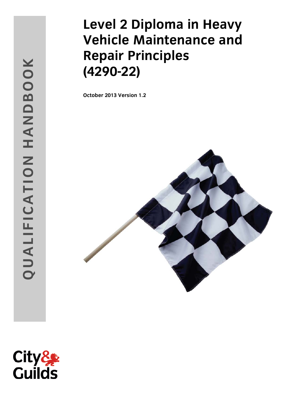# **Level 2 Diploma in Heavy Vehicle Maintenance and Repair Principles (4290 -22)**

**October 201 3 Version 1.2**



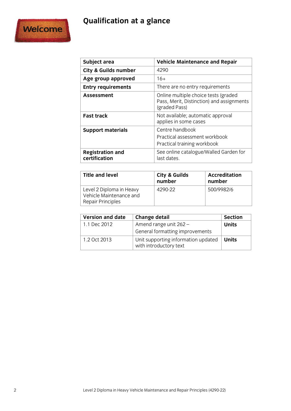## **Qualification at a glance**



| Subject area                             | <b>Vehicle Maintenance and Repair</b>                                                              |
|------------------------------------------|----------------------------------------------------------------------------------------------------|
| <b>City &amp; Guilds number</b>          | 4290                                                                                               |
| Age group approved                       | $16+$                                                                                              |
| <b>Entry requirements</b>                | There are no entry requirements                                                                    |
| Assessment                               | Online multiple choice tests (graded<br>Pass, Merit, Distinction) and assignments<br>(graded Pass) |
| <b>Fast track</b>                        | Not available; automatic approval<br>applies in some cases                                         |
| <b>Support materials</b>                 | Centre handbook<br>Practical assessment workbook<br>Practical training workbook                    |
| <b>Registration and</b><br>certification | See online catalogue/Walled Garden for<br>last dates.                                              |

| <b>Title and level</b>                                                   | City & Guilds<br>number | <b>Accreditation</b><br>number |  |
|--------------------------------------------------------------------------|-------------------------|--------------------------------|--|
| Level 2 Diploma in Heavy<br>Vehicle Maintenance and<br>Repair Principles | 4290-22                 | 500/9982/6                     |  |

| <b>Version and date</b> | Change detail                                                 | <b>Section</b> |
|-------------------------|---------------------------------------------------------------|----------------|
| 1.1 Dec 2012            | Amend range unit 262 -                                        | <b>Units</b>   |
|                         | General formatting improvements                               |                |
| 1.2 Oct 2013            | Unit supporting information updated<br>with introductory text | Units          |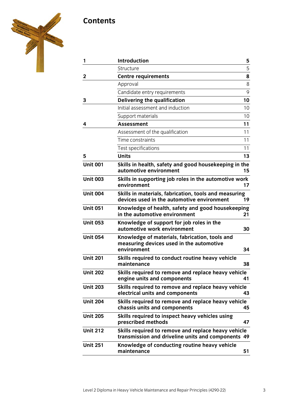## **Contents**



| 1               | <b>Introduction</b>                                                                                       | 5  |
|-----------------|-----------------------------------------------------------------------------------------------------------|----|
|                 | Structure                                                                                                 | 5  |
| $\mathbf 2$     | <b>Centre requirements</b>                                                                                | 8  |
|                 | Approval                                                                                                  | 8  |
|                 | Candidate entry requirements                                                                              | 9  |
| 3               | Delivering the qualification                                                                              | 10 |
|                 | Initial assessment and induction                                                                          | 10 |
|                 | Support materials                                                                                         | 10 |
| 4               | <b>Assessment</b>                                                                                         | 11 |
|                 | Assessment of the qualification                                                                           | 11 |
|                 | Time constraints                                                                                          | 11 |
|                 | Test specifications                                                                                       | 11 |
| 5               | <b>Units</b>                                                                                              | 13 |
| <b>Unit 001</b> | Skills in health, safety and good housekeeping in the<br>automotive environment                           | 15 |
| <b>Unit 003</b> | Skills in supporting job roles in the automotive work<br>environment                                      | 17 |
| <b>Unit 004</b> | Skills in materials, fabrication, tools and measuring<br>devices used in the automotive environment       | 19 |
| <b>Unit 051</b> | Knowledge of health, safety and good housekeeping<br>in the automotive environment                        | 21 |
| <b>Unit 053</b> | Knowledge of support for job roles in the<br>automotive work environment                                  | 30 |
| <b>Unit 054</b> | Knowledge of materials, fabrication, tools and<br>measuring devices used in the automotive<br>environment | 34 |
| <b>Unit 201</b> | Skills required to conduct routine heavy vehicle<br>maintenance                                           | 38 |
| <b>Unit 202</b> | Skills required to remove and replace heavy vehicle<br>engine units and components                        | 41 |
| <b>Unit 203</b> | Skills required to remove and replace heavy vehicle<br>electrical units and components                    | 43 |
| <b>Unit 204</b> | Skills required to remove and replace heavy vehicle<br>chassis units and components                       | 45 |
| <b>Unit 205</b> | Skills required to inspect heavy vehicles using<br>prescribed methods                                     | 47 |
| <b>Unit 212</b> | Skills required to remove and replace heavy vehicle<br>transmission and driveline units and components 49 |    |
| <b>Unit 251</b> | Knowledge of conducting routine heavy vehicle<br>maintenance                                              | 51 |
|                 |                                                                                                           |    |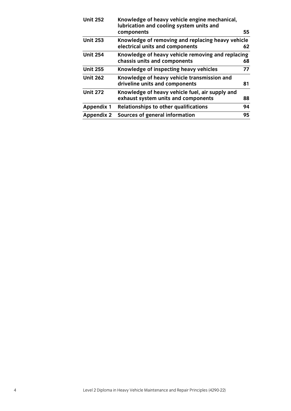| <b>Unit 252</b>   | Knowledge of heavy vehicle engine mechanical,<br>lubrication and cooling system units and |    |
|-------------------|-------------------------------------------------------------------------------------------|----|
|                   | components                                                                                | 55 |
| <b>Unit 253</b>   | Knowledge of removing and replacing heavy vehicle                                         |    |
|                   | electrical units and components                                                           | 62 |
| <b>Unit 254</b>   | Knowledge of heavy vehicle removing and replacing                                         |    |
|                   | chassis units and components                                                              | 68 |
| <b>Unit 255</b>   | Knowledge of inspecting heavy vehicles                                                    | 77 |
| <b>Unit 262</b>   | Knowledge of heavy vehicle transmission and                                               |    |
|                   | driveline units and components                                                            | 81 |
| <b>Unit 272</b>   | Knowledge of heavy vehicle fuel, air supply and                                           |    |
|                   | exhaust system units and components                                                       | 88 |
| <b>Appendix 1</b> | <b>Relationships to other qualifications</b>                                              | 94 |
| <b>Appendix 2</b> | Sources of general information                                                            | 95 |
|                   |                                                                                           |    |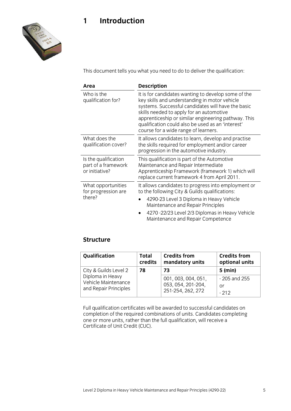## **1 Introduction**



This document tells you what you need to do to deliver the qualification:

| Area                                                          | <b>Description</b>                                                                                                                                                                                                                                                                                                                                         |  |  |
|---------------------------------------------------------------|------------------------------------------------------------------------------------------------------------------------------------------------------------------------------------------------------------------------------------------------------------------------------------------------------------------------------------------------------------|--|--|
| Who is the<br>qualification for?                              | It is for candidates wanting to develop some of the<br>key skills and understanding in motor vehicle<br>systems. Successful candidates will have the basic<br>skills needed to apply for an automotive<br>apprenticeship or similar engineering pathway. This<br>qualification could also be used as an 'interest'<br>course for a wide range of learners. |  |  |
| What does the<br>qualification cover?                         | It allows candidates to learn, develop and practise<br>the skills required for employment and/or career<br>progression in the automotive industry.                                                                                                                                                                                                         |  |  |
| Is the qualification<br>part of a framework<br>or initiative? | This qualification is part of the Automotive<br>Maintenance and Repair Intermediate<br>Apprenticeship Framework (framework 1) which will<br>replace current framework 4 from April 2011.                                                                                                                                                                   |  |  |
| What opportunities<br>for progression are                     | It allows candidates to progress into employment or<br>to the following City & Guilds qualifications:                                                                                                                                                                                                                                                      |  |  |
| there?                                                        | 4290-23 Level 3 Diploma in Heavy Vehicle<br>Maintenance and Repair Principles                                                                                                                                                                                                                                                                              |  |  |
|                                                               | 4270 -22/23 Level 2/3 Diplomas in Heavy Vehicle<br>$\bullet$<br>Maintenance and Repair Competence                                                                                                                                                                                                                                                          |  |  |

### **Structure**

| Qualification         | <b>Total</b> | <b>Credits from</b> | <b>Credits from</b> |
|-----------------------|--------------|---------------------|---------------------|
|                       | credits      | mandatory units     | optional units      |
| City & Guilds Level 2 | 78           | 73                  | $5$ (min)           |
| Diploma in Heavy      |              | 001, 003, 004, 051, | $-205$ and 255      |
| Vehicle Maintenance   |              | 053, 054, 201-204,  | Oľ                  |
| and Repair Principles |              | 251-254, 262, 272   | $-212$              |

Full qualification certificates will be awarded to successful candidates on completion of the required combinations of units. Candidates completing one or more units, rather than the full qualification, will receive a Certificate of Unit Credit (CUC).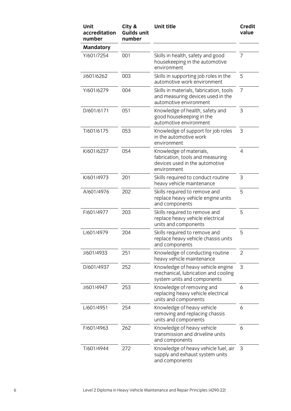| Unit<br>accreditation<br>number | City &<br><b>Guilds unit</b><br>number | <b>Unit title</b>                                                                                            | <b>Credit</b><br>value |
|---------------------------------|----------------------------------------|--------------------------------------------------------------------------------------------------------------|------------------------|
| <b>Mandatory</b>                |                                        |                                                                                                              |                        |
| Y/601/7254                      | 001                                    | Skills in health, safety and good<br>housekeeping in the automotive<br>environment                           | 7                      |
| J/601/6262                      | 003                                    | Skills in supporting job roles in the<br>automotive work environment                                         | 5                      |
| Y/601/6279                      | 004                                    | Skills in materials, fabrication, tools<br>and measuring devices used in the<br>automotive environment       | 7                      |
| D/601/6171                      | 051                                    | Knowledge of health, safety and<br>good housekeeping in the<br>automotive environment                        | 3                      |
| T/601/6175                      | 053                                    | Knowledge of support for job roles<br>in the automotive work<br>environment                                  | 3                      |
| K/601/6237                      | 054                                    | Knowledge of materials,<br>fabrication, tools and measuring<br>devices used in the automotive<br>environment | $\overline{4}$         |
| K/601/4973                      | 201                                    | Skills required to conduct routine<br>heavy vehicle maintenance                                              | 3                      |
| A/601/4976                      | 202                                    | Skills required to remove and<br>replace heavy vehicle engine units<br>and components                        | 5                      |
| F/601/4977                      | 203                                    | Skills required to remove and<br>replace heavy vehicle electrical<br>units and components                    | 5                      |
| L/601/4979                      | 204                                    | Skills required to remove and<br>replace heavy vehicle chassis units<br>and components                       | 5                      |
| J/601/4933                      | 251                                    | Knowledge of conducting routine<br>heavy vehicle maintenance                                                 | 2                      |
| D/601/4937                      | 252                                    | Knowledge of heavy vehicle engine<br>mechanical, lubrication and cooling<br>system units and components      | 3                      |
| J/601/4947                      | 253                                    | Knowledge of removing and<br>replacing heavy vehicle electrical<br>units and components                      | 6                      |
| L/601/4951                      | 254                                    | Knowledge of heavy vehicle<br>removing and replacing chassis<br>units and components                         | 6                      |
| F/601/4963                      | 262                                    | Knowledge of heavy vehicle<br>transmission and driveline units<br>and components                             | 6                      |
| T/601/4944                      | 272                                    | Knowledge of heavy vehicle fuel, air<br>supply and exhaust system units<br>and components                    | 3                      |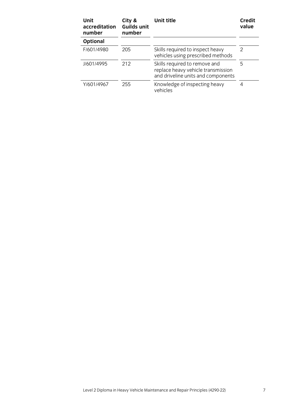| Unit<br>accreditation<br>number | City &<br><b>Guilds unit</b><br>number | Unit title                                                                                                | Credit<br>value |
|---------------------------------|----------------------------------------|-----------------------------------------------------------------------------------------------------------|-----------------|
| <b>Optional</b>                 |                                        |                                                                                                           |                 |
| F/601/4980                      | 205                                    | Skills required to inspect heavy<br>vehicles using prescribed methods                                     | 2               |
| J/601/4995                      | 212                                    | Skills required to remove and<br>replace heavy vehicle transmission<br>and driveline units and components | 5               |
| Y/601/4967                      | 255                                    | Knowledge of inspecting heavy<br>vehicles                                                                 | 4               |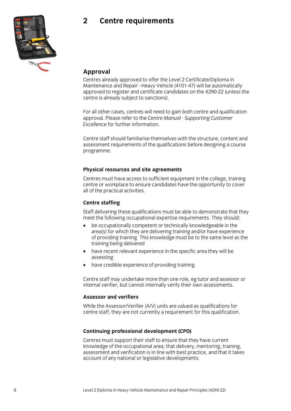## **2 Centre requirements**



#### **Approval**

Centres already approved to offer the Level 2 Certificate/Diploma in Maintenance and Repair - Heavy Vehicle (4101-47) will be automatically approved to register and certificate candidates on the 4290-22 (unless the centre is already subject to sanctions).

For all other cases, centres will need to gain both centre and qualification approval. Please refer to the *Centre Manual - Supporting Customer Excellence* for further information.

Centre staff should familiarise themselves with the structure, content and assessment requirements of the qualifications before designing a course programme.

#### **Physical resources and site agreements**

Centres must have access to sufficient equipment in the college, training centre or workplace to ensure candidates have the opportunity to cover all of the practical activities.

#### **Centre staffing**

Staff delivering these qualifications must be able to demonstrate that they meet the following occupational expertise requirements. They should:

- be occupationally competent or technically knowledgeable in the area(s) for which they are delivering training and/or have experience of providing training. This knowledge must be to the same level as the training being delivered
- have recent relevant experience in the specific area they will be assessing
- have credible experience of providing training.

Centre staff may undertake more than one role, eg tutor and assessor or internal verifier, but cannot internally verify their own assessments.

#### **Assessor and verifiers**

While the Assessor/Verifier (A/V) units are valued as qualifications for centre staff, they are not currently a requirement for this qualification.

#### **Continuing professional development (CPD)**

Centres must support their staff to ensure that they have current knowledge of the occupational area, that delivery, mentoring, training, assessment and verification is in line with best practice, and that it takes account of any national or legislative developments.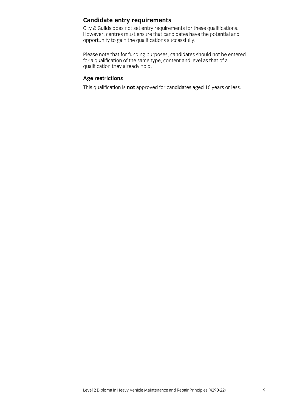### **Candidate entry requirements**

City & Guilds does not set entry requirements for these qualifications. However, centres must ensure that candidates have the potential and opportunity to gain the qualifications successfully.

Please note that for funding purposes, candidates should not be entered for a qualification of the same type, content and level as that of a qualification they already hold.

#### **Age restrictions**

This qualification is **not** approved for candidates aged 16 years or less.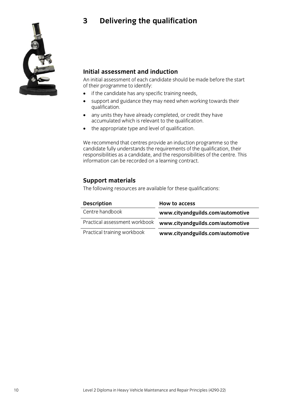## **3 Delivering the qualification**



### **Initial assessment and induction**

An initial assessment of each candidate should be made before the start of their programme to identify:

- if the candidate has any specific training needs,
- support and guidance they may need when working towards their qualification.
- any units they have already completed, or credit they have accumulated which is relevant to the qualification.
- the appropriate type and level of qualification.

We recommend that centres provide an induction programme so the candidate fully understands the requirements of the qualification, their responsibilities as a candidate, and the responsibilities of the centre. This information can be recorded on a learning contract.

### **Support materials**

The following resources are available for these qualifications:

| <b>Description</b>            | <b>How to access</b>             |
|-------------------------------|----------------------------------|
| Centre handbook               | www.cityandguilds.com/automotive |
| Practical assessment workbook | www.cityandguilds.com/automotive |
| Practical training workbook   | www.cityandguilds.com/automotive |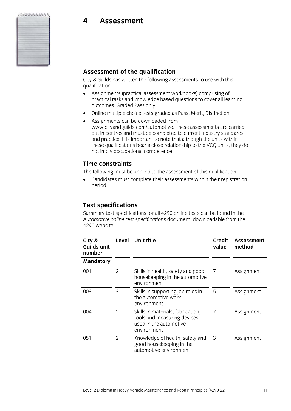#### ...................

**4 Assessment**



#### **Assessment of the qualification**

City & Guilds has written the following assessments to use with this qualification:

- Assignments (practical assessment workbooks) comprising of practical tasks and knowledge based questions to cover all learning outcomes. Graded Pass only.
- Online multiple choice tests graded as Pass, Merit, Distinction.
- Assignments can be downloaded from www.cityandguilds.com/automotive. These assessments are carried out in centres and must be completed to current industry standards and practice. It is important to note that although the units within these qualifications bear a close relationship to the VCQ units, they do not imply occupational competence.

#### **Time constraints**

The following must be applied to the assessment of this qualification:

• Candidates must complete their assessments within their registration period.

### **Test specifications**

Summary test specifications for all 4290 online tests can be found in the *Automotive online test specifications* document, downloadable from the 4290 website.

| City &<br><b>Guilds unit</b><br>number | Level | <b>Unit title</b>                                                                                         | <b>Credit</b><br>value | Assessment<br>method |
|----------------------------------------|-------|-----------------------------------------------------------------------------------------------------------|------------------------|----------------------|
| <b>Mandatory</b>                       |       |                                                                                                           |                        |                      |
| 001                                    | 2     | Skills in health, safety and good<br>housekeeping in the automotive<br>environment                        | 7                      | Assignment           |
| 003                                    | 3     | Skills in supporting job roles in<br>the automotive work<br>environment                                   | 5                      | Assignment           |
| 004                                    | 2     | Skills in materials, fabrication,<br>tools and measuring devices<br>used in the automotive<br>environment | 7                      | Assignment           |
| 051                                    | 2     | Knowledge of health, safety and<br>good housekeeping in the<br>automotive environment                     | 3                      | Assignment           |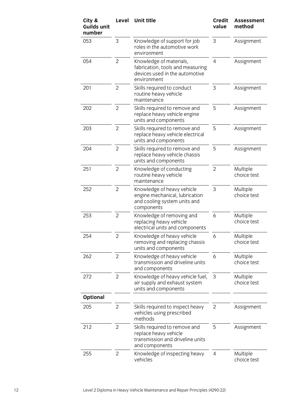| City &<br><b>Guilds unit</b><br>number | Level          | <b>Unit title</b>                                                                                            | <b>Credit</b><br>value | <b>Assessment</b><br>method |
|----------------------------------------|----------------|--------------------------------------------------------------------------------------------------------------|------------------------|-----------------------------|
| 053                                    | 3              | Knowledge of support for job<br>roles in the automotive work<br>environment                                  | 3                      | Assignment                  |
| 054                                    | $\overline{2}$ | Knowledge of materials,<br>fabrication, tools and measuring<br>devices used in the automotive<br>environment | $\overline{4}$         | Assignment                  |
| 201                                    | $\overline{2}$ | Skills required to conduct<br>routine heavy vehicle<br>maintenance                                           | 3                      | Assignment                  |
| 202                                    | 2              | Skills required to remove and<br>replace heavy vehicle engine<br>units and components                        | 5                      | Assignment                  |
| 203                                    | $\overline{2}$ | Skills required to remove and<br>replace heavy vehicle electrical<br>units and components                    | 5                      | Assignment                  |
| 204                                    | 2              | Skills required to remove and<br>replace heavy vehicle chassis<br>units and components                       | 5                      | Assignment                  |
| 251                                    | $\overline{2}$ | Knowledge of conducting<br>routine heavy vehicle<br>maintenance                                              | $\overline{2}$         | Multiple<br>choice test     |
| 252                                    | $\overline{2}$ | Knowledge of heavy vehicle<br>engine mechanical, lubrication<br>and cooling system units and<br>components   | 3                      | Multiple<br>choice test     |
| 253                                    | $\overline{2}$ | Knowledge of removing and<br>replacing heavy vehicle<br>electrical units and components                      | 6                      | Multiple<br>choice test     |
| 254                                    | 2              | Knowledge of heavy vehicle<br>removing and replacing chassis<br>units and components                         | 6                      | Multiple<br>choice test     |
| 262                                    | $\overline{2}$ | Knowledge of heavy vehicle<br>transmission and driveline units<br>and components                             | 6                      | Multiple<br>choice test     |
| 272                                    | 2              | Knowledge of heavy vehicle fuel,<br>air supply and exhaust system<br>units and components                    | 3                      | Multiple<br>choice test     |
| <b>Optional</b>                        |                |                                                                                                              |                        |                             |
| 205                                    | $\overline{2}$ | Skills required to inspect heavy<br>vehicles using prescribed<br>methods                                     | 2                      | Assignment                  |
| 212                                    | $\overline{2}$ | Skills required to remove and<br>replace heavy vehicle<br>transmission and driveline units<br>and components | 5                      | Assignment                  |
| 255                                    | 2              | Knowledge of inspecting heavy<br>vehicles                                                                    | 4                      | Multiple<br>choice test     |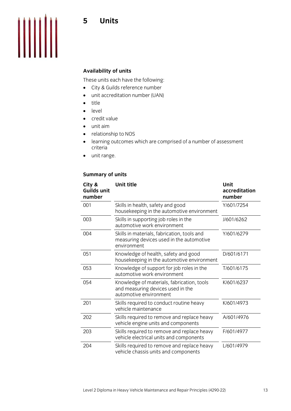

#### **Availability of units**

These units each have the following:

- City & Guilds reference number
- unit accreditation number (UAN)
- title
- level
- credit value
- unit aim
- relationship to NOS
- learning outcomes which are comprised of a number of assessment criteria
- unit range.

#### **Summary of units**

| City &<br>Guilds unit<br>number | <b>Unit title</b>                                                                                         | <b>Unit</b><br>accreditation<br>number |
|---------------------------------|-----------------------------------------------------------------------------------------------------------|----------------------------------------|
| 001                             | Skills in health, safety and good<br>housekeeping in the automotive environment                           | Y/601/7254                             |
| 003                             | Skills in supporting job roles in the<br>automotive work environment                                      | J/601/6262                             |
| 004                             | Skills in materials, fabrication, tools and<br>measuring devices used in the automotive<br>environment    | Y/601/6279                             |
| 051                             | Knowledge of health, safety and good<br>housekeeping in the automotive environment                        | D/601/6171                             |
| 053                             | Knowledge of support for job roles in the<br>automotive work environment                                  | T/601/6175                             |
| 054                             | Knowledge of materials, fabrication, tools<br>and measuring devices used in the<br>automotive environment | K/601/6237                             |
| 201                             | Skills required to conduct routine heavy<br>vehicle maintenance                                           | K/601/4973                             |
| 202                             | Skills required to remove and replace heavy<br>vehicle engine units and components                        | A/601/4976                             |
| 203                             | Skills required to remove and replace heavy<br>vehicle electrical units and components                    | F/601/4977                             |
| 204                             | Skills required to remove and replace heavy<br>vehicle chassis units and components                       | L/601/4979                             |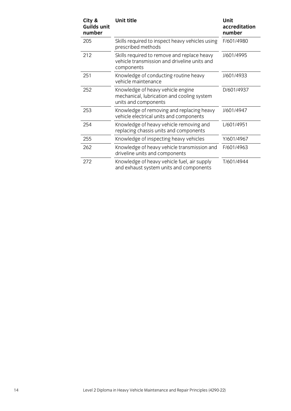| City &<br>Guilds unit<br>number | Unit title                                                                                                | Unit<br>accreditation<br>number |
|---------------------------------|-----------------------------------------------------------------------------------------------------------|---------------------------------|
| 205                             | Skills required to inspect heavy vehicles using<br>prescribed methods                                     | F/601/4980                      |
| 212                             | Skills required to remove and replace heavy<br>vehicle transmission and driveline units and<br>components | J/601/4995                      |
| 251                             | Knowledge of conducting routine heavy<br>vehicle maintenance                                              | J/601/4933                      |
| 252                             | Knowledge of heavy vehicle engine<br>mechanical, lubrication and cooling system<br>units and components   | D/601/4937                      |
| 253                             | Knowledge of removing and replacing heavy<br>vehicle electrical units and components                      | J/601/4947                      |
| 254                             | Knowledge of heavy vehicle removing and<br>replacing chassis units and components                         | L/601/4951                      |
| 255                             | Knowledge of inspecting heavy vehicles                                                                    | Y/601/4967                      |
| 262                             | Knowledge of heavy vehicle transmission and<br>driveline units and components                             | F/601/4963                      |
| 272                             | Knowledge of heavy vehicle fuel, air supply<br>and exhaust system units and components                    | T/601/4944                      |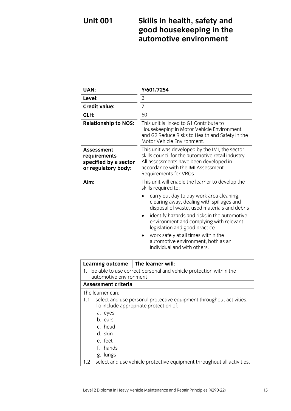## **Unit 001 Skills in health, safety and good housekeeping in the automotive environment**

| UAN:                                                                                                                                                                                           | Y/601/7254                                                                                                                                                                                                     |  |
|------------------------------------------------------------------------------------------------------------------------------------------------------------------------------------------------|----------------------------------------------------------------------------------------------------------------------------------------------------------------------------------------------------------------|--|
| Level:                                                                                                                                                                                         | 2                                                                                                                                                                                                              |  |
| <b>Credit value:</b>                                                                                                                                                                           | 7                                                                                                                                                                                                              |  |
| GLH:                                                                                                                                                                                           | 60                                                                                                                                                                                                             |  |
| <b>Relationship to NOS:</b>                                                                                                                                                                    | This unit is linked to G1 Contribute to<br>Housekeeping in Motor Vehicle Environment<br>and G2 Reduce Risks to Health and Safety in the<br>Motor Vehicle Environment.                                          |  |
| Assessment<br>requirements<br>specified by a sector<br>or regulatory body:                                                                                                                     | This unit was developed by the IMI, the sector<br>skills council for the automotive retail industry.<br>All assessments have been developed in<br>accordance with the IMI Assessment<br>Requirements for VRQs. |  |
| Aim:                                                                                                                                                                                           | This unit will enable the learner to develop the<br>skills required to:                                                                                                                                        |  |
|                                                                                                                                                                                                | carry out day to day work area cleaning,<br>clearing away, dealing with spillages and<br>disposal of waste, used materials and debris                                                                          |  |
|                                                                                                                                                                                                | identify hazards and risks in the automotive<br>٠<br>environment and complying with relevant<br>legislation and good practice                                                                                  |  |
|                                                                                                                                                                                                | work safely at all times within the<br>automotive environment, both as an<br>individual and with others.                                                                                                       |  |
| <b>Learning outcome</b>                                                                                                                                                                        | The learner will:                                                                                                                                                                                              |  |
| be able to use correct personal and vehicle protection within the<br>1.<br>automotive environment                                                                                              |                                                                                                                                                                                                                |  |
| <b>Assessment criteria</b>                                                                                                                                                                     |                                                                                                                                                                                                                |  |
| The learner can:<br>select and use personal protective equipment throughout activities.<br>1.1<br>To include appropriate protection of:<br>a. eyes<br>b. ears<br>c. head<br>d. skin<br>e. feet |                                                                                                                                                                                                                |  |
| hands<br>f.                                                                                                                                                                                    |                                                                                                                                                                                                                |  |
| g. lungs<br>1.2                                                                                                                                                                                | select and use vehicle protective equipment throughout all activities.                                                                                                                                         |  |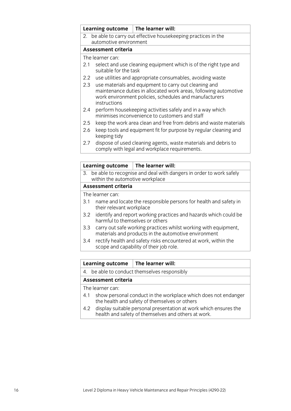|                  | Learning outcome                                                                                                                                                                                    | The learner will:                                                                                           |
|------------------|-----------------------------------------------------------------------------------------------------------------------------------------------------------------------------------------------------|-------------------------------------------------------------------------------------------------------------|
|                  |                                                                                                                                                                                                     | 2. be able to carry out effective housekeeping practices in the                                             |
|                  | automotive environment                                                                                                                                                                              |                                                                                                             |
|                  | Assessment criteria                                                                                                                                                                                 |                                                                                                             |
|                  | The learner can:                                                                                                                                                                                    |                                                                                                             |
| 2.1              | suitable for the task                                                                                                                                                                               | select and use cleaning equipment which is of the right type and                                            |
| $2.2\phantom{0}$ | use utilities and appropriate consumables, avoiding waste                                                                                                                                           |                                                                                                             |
| 2.3              | use materials and equipment to carry out cleaning and<br>maintenance duties in allocated work areas, following automotive<br>work environment policies, schedules and manufacturers<br>instructions |                                                                                                             |
| 2.4              |                                                                                                                                                                                                     | perform housekeeping activities safely and in a way which<br>minimises inconvenience to customers and staff |
| 2.5              |                                                                                                                                                                                                     | keep the work area clean and free from debris and waste materials                                           |
| 2.6              | keeping tidy                                                                                                                                                                                        | keep tools and equipment fit for purpose by regular cleaning and                                            |
| 27               |                                                                                                                                                                                                     | dispose of used cleaning agents, waste materials and debris to                                              |

2.7 dispose of used cleaning agents, waste materials and debris to comply with legal and workplace requirements.

| Learning outcome                                                                                            | The learner will:                                                                                                       |  |  |
|-------------------------------------------------------------------------------------------------------------|-------------------------------------------------------------------------------------------------------------------------|--|--|
| be able to recognise and deal with dangers in order to work safely<br>3.<br>within the automotive workplace |                                                                                                                         |  |  |
| <b>Assessment criteria</b>                                                                                  |                                                                                                                         |  |  |
| The learner can:                                                                                            |                                                                                                                         |  |  |
| 3.1                                                                                                         | name and locate the responsible persons for health and safety in<br>their relevant workplace                            |  |  |
| harmful to themselves or others                                                                             | 3.2 identify and report working practices and hazards which could be                                                    |  |  |
| 3.3                                                                                                         | carry out safe working practices whilst working with equipment,<br>materials and products in the automotive environment |  |  |
| 3.4                                                                                                         | rectify health and safety risks encountered at work, within the<br>scope and capability of their job role.              |  |  |
|                                                                                                             |                                                                                                                         |  |  |

#### **Learning outcome The learner will:**

4. be able to conduct themselves responsibly

#### **Assessment criteria**

- 4.1 show personal conduct in the workplace which does not endanger the health and safety of themselves or others
- 4.2 display suitable personal presentation at work which ensures the health and safety of themselves and others at work.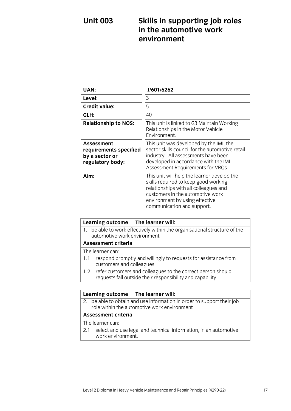## **Unit 003 Skills in supporting job roles in the automotive work environment**

| <b>UAN:</b>                                                                | J/601/6262                                                                                                                                                                                                                       |
|----------------------------------------------------------------------------|----------------------------------------------------------------------------------------------------------------------------------------------------------------------------------------------------------------------------------|
| Level:                                                                     | 3                                                                                                                                                                                                                                |
| <b>Credit value:</b>                                                       | 5                                                                                                                                                                                                                                |
| GLH:                                                                       | 40                                                                                                                                                                                                                               |
| <b>Relationship to NOS:</b>                                                | This unit is linked to G3 Maintain Working<br>Relationships in the Motor Vehicle<br>Environment.                                                                                                                                 |
| Assessment<br>requirements specified<br>by a sector or<br>regulatory body: | This unit was developed by the IMI, the<br>sector skills council for the automotive retail<br>industry. All assessments have been<br>developed in accordance with the IMI<br>Assessment Requirements for VRQs.                   |
| Aim:                                                                       | This unit will help the learner develop the<br>skills required to keep good working<br>relationships with all colleagues and<br>customers in the automotive work<br>environment by using effective<br>communication and support. |

| <b>Learning outcome</b>                                                                                  | The learner will:                                                                                                             |  |
|----------------------------------------------------------------------------------------------------------|-------------------------------------------------------------------------------------------------------------------------------|--|
| 1. be able to work effectively within the organisational structure of the<br>automotive work environment |                                                                                                                               |  |
| <b>Assessment criteria</b>                                                                               |                                                                                                                               |  |
| The learner can:                                                                                         |                                                                                                                               |  |
| respond promptly and willingly to requests for assistance from<br>1.1<br>customers and colleagues        |                                                                                                                               |  |
|                                                                                                          | 1.2 refer customers and colleagues to the correct person should<br>requests fall outside their responsibility and capability. |  |
|                                                                                                          |                                                                                                                               |  |

|     |                                                                                                                       | Learning outcome $\parallel$ The learner will:                   |  |
|-----|-----------------------------------------------------------------------------------------------------------------------|------------------------------------------------------------------|--|
|     | 2. be able to obtain and use information in order to support their job<br>role within the automotive work environment |                                                                  |  |
|     | <b>Assessment criteria</b>                                                                                            |                                                                  |  |
|     | The learner can:                                                                                                      |                                                                  |  |
| 2.1 | work environment.                                                                                                     | select and use legal and technical information, in an automotive |  |
|     |                                                                                                                       |                                                                  |  |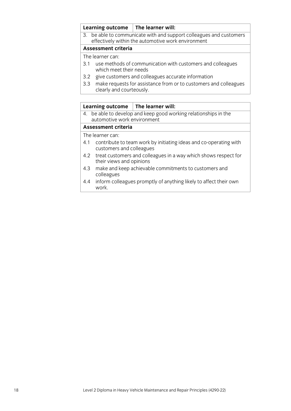#### **Learning outcome The learner will:**

3. be able to communicate with and support colleagues and customers effectively within the automotive work environment

#### **Assessment criteria**

The learner can:

- 3.1 use methods of communication with customers and colleagues which meet their needs
- 3.2 give customers and colleagues accurate information
- 3.3 make requests for assistance from or to customers and colleagues clearly and courteously.

|                            | Learning outcome                                                                                | The learner will:                                                     |  |
|----------------------------|-------------------------------------------------------------------------------------------------|-----------------------------------------------------------------------|--|
|                            | 4. be able to develop and keep good working relationships in the<br>automotive work environment |                                                                       |  |
| <b>Assessment criteria</b> |                                                                                                 |                                                                       |  |
|                            | The learner can:                                                                                |                                                                       |  |
|                            | customers and colleagues                                                                        | 4.1 contribute to team work by initiating ideas and co-operating with |  |
|                            | their views and opinions                                                                        | 4.2 treat customers and colleagues in a way which shows respect for   |  |
| 4.3                        | colleagues                                                                                      | make and keep achievable commitments to customers and                 |  |

4.4 inform colleagues promptly of anything likely to affect their own work.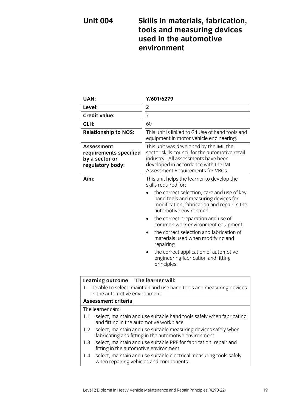## **Unit 004 Skills in materials, fabrication, tools and measuring devices used in the automotive environment**

| UAN:                                                                                                                                                                                                                                       | Y/601/6279                                                                                                                                                                                                     |
|--------------------------------------------------------------------------------------------------------------------------------------------------------------------------------------------------------------------------------------------|----------------------------------------------------------------------------------------------------------------------------------------------------------------------------------------------------------------|
| Level:                                                                                                                                                                                                                                     | $\overline{c}$                                                                                                                                                                                                 |
| <b>Credit value:</b>                                                                                                                                                                                                                       | $\overline{7}$                                                                                                                                                                                                 |
| GLH:                                                                                                                                                                                                                                       | 60                                                                                                                                                                                                             |
| <b>Relationship to NOS:</b>                                                                                                                                                                                                                | This unit is linked to G4 Use of hand tools and<br>equipment in motor vehicle engineering.                                                                                                                     |
| Assessment<br>requirements specified<br>by a sector or<br>regulatory body:                                                                                                                                                                 | This unit was developed by the IMI, the<br>sector skills council for the automotive retail<br>industry. All assessments have been<br>developed in accordance with the IMI<br>Assessment Requirements for VRQs. |
| Aim:                                                                                                                                                                                                                                       | This unit helps the learner to develop the<br>skills required for:                                                                                                                                             |
|                                                                                                                                                                                                                                            | the correct selection, care and use of key<br>hand tools and measuring devices for<br>modification, fabrication and repair in the<br>automotive environment                                                    |
|                                                                                                                                                                                                                                            | the correct preparation and use of<br>٠<br>common work environment equipment<br>the correct selection and fabrication of<br>materials used when modifying and<br>repairing                                     |
|                                                                                                                                                                                                                                            | the correct application of automotive<br>engineering fabrication and fitting<br>principles.                                                                                                                    |
| <b>Learning outcome</b>                                                                                                                                                                                                                    | The learner will:                                                                                                                                                                                              |
| be able to select, maintain and use hand tools and measuring devices<br>1.<br>in the automotive environment                                                                                                                                |                                                                                                                                                                                                                |
| <b>Assessment criteria</b>                                                                                                                                                                                                                 |                                                                                                                                                                                                                |
| The learner can:<br>select, maintain and use suitable hand tools safely when fabricating<br>1.1<br>and fitting in the automotive workplace                                                                                                 |                                                                                                                                                                                                                |
| select, maintain and use suitable measuring devices safely when<br>1.2<br>fabricating and fitting in the automotive environment                                                                                                            |                                                                                                                                                                                                                |
| select, maintain and use suitable PPE for fabrication, repair and<br>1.3<br>fitting in the automotive environment<br>select, maintain and use suitable electrical measuring tools safely<br>1.4<br>when repairing vehicles and components. |                                                                                                                                                                                                                |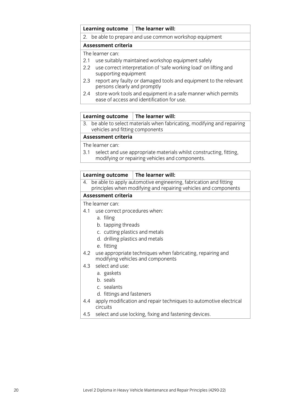#### **Learning outcome The learner will:**

#### 2. be able to prepare and use common workshop equipment

#### **Assessment criteria**

The learner can:

- 2.1 use suitably maintained workshop equipment safely
- 2.2 use correct interpretation of 'safe working load' on lifting and supporting equipment
- 2.3 report any faulty or damaged tools and equipment to the relevant persons clearly and promptly
- 2.4 store work tools and equipment in a safe manner which permits ease of access and identification for use.

#### **Learning outcome The learner will:**

3. be able to select materials when fabricating, modifying and repairing vehicles and fitting components

#### **Assessment criteria**

The learner can:

3.1 select and use appropriate materials whilst constructing, fitting, modifying or repairing vehicles and components.

#### **Learning outcome The learner will:**

4. be able to apply automotive engineering, fabrication and fitting principles when modifying and repairing vehicles and components

#### **Assessment criteria**

- 4.1 use correct procedures when:
	- a. filing
	- b. tapping threads
	- c. cutting plastics and metals
	- d. drilling plastics and metals
	- e. fitting
- 4.2 use appropriate techniques when fabricating, repairing and modifying vehicles and components
- 4.3 select and use:
	- a. gaskets
	- b. seals
	- c. sealants
	- d. fittings and fasteners
- 4.4 apply modification and repair techniques to automotive electrical circuits
- 4.5 select and use locking, fixing and fastening devices.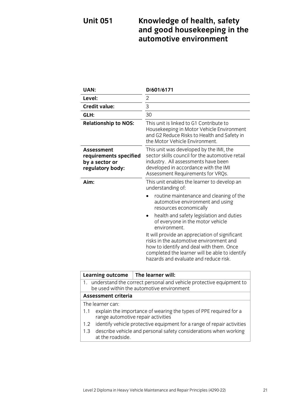## **Unit 051 Knowledge of health, safety and good housekeeping in the automotive environment**

| <b>UAN:</b>                                                                                                            | D/601/6171                                                                                                                                                                                                                                                                                                                                                                                                                                                                                                                 |
|------------------------------------------------------------------------------------------------------------------------|----------------------------------------------------------------------------------------------------------------------------------------------------------------------------------------------------------------------------------------------------------------------------------------------------------------------------------------------------------------------------------------------------------------------------------------------------------------------------------------------------------------------------|
| Level:                                                                                                                 | $\overline{2}$                                                                                                                                                                                                                                                                                                                                                                                                                                                                                                             |
| <b>Credit value:</b>                                                                                                   | 3                                                                                                                                                                                                                                                                                                                                                                                                                                                                                                                          |
| GLH:                                                                                                                   | 30                                                                                                                                                                                                                                                                                                                                                                                                                                                                                                                         |
| <b>Relationship to NOS:</b>                                                                                            | This unit is linked to G1 Contribute to<br>Housekeeping in Motor Vehicle Environment<br>and G2 Reduce Risks to Health and Safety in<br>the Motor Vehicle Environment.                                                                                                                                                                                                                                                                                                                                                      |
| <b>Assessment</b><br>requirements specified<br>by a sector or<br>regulatory body:                                      | This unit was developed by the IMI, the<br>sector skills council for the automotive retail<br>industry. All assessments have been<br>developed in accordance with the IMI<br>Assessment Requirements for VRQs.                                                                                                                                                                                                                                                                                                             |
| Aim:                                                                                                                   | This unit enables the learner to develop an<br>understanding of:<br>routine maintenance and cleaning of the<br>automotive environment and using<br>resources economically<br>health and safety legislation and duties<br>$\bullet$<br>of everyone in the motor vehicle<br>environment.<br>It will provide an appreciation of significant<br>risks in the automotive environment and<br>how to identify and deal with them. Once<br>completed the learner will be able to identify<br>hazards and evaluate and reduce risk. |
| <b>Learning outcome</b>                                                                                                | The learner will:                                                                                                                                                                                                                                                                                                                                                                                                                                                                                                          |
| understand the correct personal and vehicle protective equipment to<br>1.<br>be used within the automotive environment |                                                                                                                                                                                                                                                                                                                                                                                                                                                                                                                            |

### **Assessment criteria**

- 1.1 explain the importance of wearing the types of PPE required for a range automotive repair activities
- 1.2 identify vehicle protective equipment for a range of repair activities
- 1.3 describe vehicle and personal safety considerations when working at the roadside.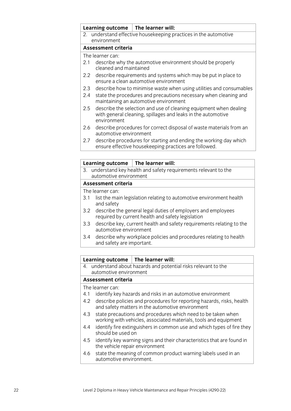| <b>Learning outcome</b>                                                                       | $\mid$ The learner will:                                                                                                          |  |  |
|-----------------------------------------------------------------------------------------------|-----------------------------------------------------------------------------------------------------------------------------------|--|--|
|                                                                                               | 2. understand effective housekeeping practices in the automotive                                                                  |  |  |
| environment                                                                                   |                                                                                                                                   |  |  |
| Assessment criteria                                                                           |                                                                                                                                   |  |  |
| The learner can:                                                                              |                                                                                                                                   |  |  |
| 2.1                                                                                           | describe why the automotive environment should be properly<br>cleaned and maintained                                              |  |  |
| $2.2\phantom{0}$                                                                              | describe requirements and systems which may be put in place to<br>ensure a clean automotive environment                           |  |  |
| 2.3                                                                                           | describe how to minimise waste when using utilities and consumables                                                               |  |  |
| 2.4                                                                                           | state the procedures and precautions necessary when cleaning and<br>maintaining an automotive environment                         |  |  |
| 2.5<br>environment                                                                            | describe the selection and use of cleaning equipment when dealing<br>with general cleaning, spillages and leaks in the automotive |  |  |
| 2.6                                                                                           | describe procedures for correct disposal of waste materials from an<br>automotive environment                                     |  |  |
| 2.7                                                                                           | describe procedures for starting and ending the working day which<br>ensure effective housekeeping practices are followed.        |  |  |
|                                                                                               |                                                                                                                                   |  |  |
| <b>Learning outcome</b>                                                                       | The learner will:                                                                                                                 |  |  |
| understand key health and safety requirements relevant to the<br>3.<br>automotive environment |                                                                                                                                   |  |  |
| Assessment criteria                                                                           |                                                                                                                                   |  |  |
| The learner can:                                                                              |                                                                                                                                   |  |  |

- 3.1 list the main legislation relating to automotive environment health and safety
- 3.2 describe the general legal duties of employers and employees required by current health and safety legislation
- 3.3 describe key, current health and safety requirements relating to the automotive environment
- 3.4 describe why workplace policies and procedures relating to health and safety are important.

|                            | Learning outcome                                                                                                                 | The learner will:                                                      |  |  |  |
|----------------------------|----------------------------------------------------------------------------------------------------------------------------------|------------------------------------------------------------------------|--|--|--|
|                            | 4. understand about hazards and potential risks relevant to the                                                                  |                                                                        |  |  |  |
|                            | automotive environment                                                                                                           |                                                                        |  |  |  |
| <b>Assessment criteria</b> |                                                                                                                                  |                                                                        |  |  |  |
| The learner can:           |                                                                                                                                  |                                                                        |  |  |  |
| 4.1                        |                                                                                                                                  | identify key hazards and risks in an automotive environment            |  |  |  |
| 4.2                        | describe policies and procedures for reporting hazards, risks, health<br>and safety matters in the automotive environment        |                                                                        |  |  |  |
| 4.3                        | state precautions and procedures which need to be taken when<br>working with vehicles, associated materials, tools and equipment |                                                                        |  |  |  |
| 4.4                        | should be used on                                                                                                                | identify fire extinguishers in common use and which types of fire they |  |  |  |
| 4.5                        | the vehicle repair environment                                                                                                   | identify key warning signs and their characteristics that are found in |  |  |  |
| 4.6                        |                                                                                                                                  | state the meaning of common product warning labels used in an          |  |  |  |

automotive environment.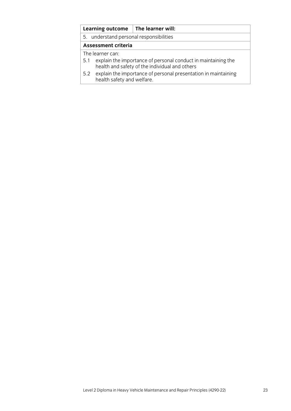|                            | <b>Learning outcome</b>                                                                                             | The learner will:                                              |  |  |  |
|----------------------------|---------------------------------------------------------------------------------------------------------------------|----------------------------------------------------------------|--|--|--|
|                            | 5. understand personal responsibilities                                                                             |                                                                |  |  |  |
| <b>Assessment criteria</b> |                                                                                                                     |                                                                |  |  |  |
| The learner can:           |                                                                                                                     |                                                                |  |  |  |
|                            | 5.1 explain the importance of personal conduct in maintaining the<br>health and safety of the individual and others |                                                                |  |  |  |
| 5.2                        | health safety and welfare.                                                                                          | explain the importance of personal presentation in maintaining |  |  |  |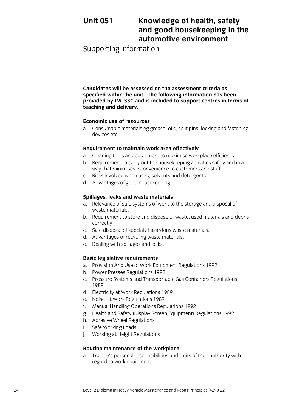## **Unit 051 Knowledge of health, safety and good housekeeping in the automotive environment**

Supporting information

**Candidates will be assessed on the assessment criteria as specified within the unit. The following information has been provided by IMI SSC and is included to support centres in terms of teaching and delivery.**

#### **Economic use of resources**

a. Consumable materials eg grease, oils, split pins, locking and fastening devices etc.

#### **Requirement to maintain work area effectively**

- a. Cleaning tools and equipment to maximise workplace efficiency.
- b. Requirement to carry out the housekeeping activities safely and in a way that minimises inconvenience to customers and staff.
- c. Risks involved when using solvents and detergents.
- d. Advantages of good housekeeping.

#### **Spillages, leaks and waste materials**

- a. Relevance of safe systems of work to the storage and disposal of waste materials.
- b. Requirement to store and dispose of waste, used materials and debris correctly.
- c. Safe disposal of special / hazardous waste materials.
- d. Advantages of recycling waste materials.
- e. Dealing with spillages and leaks.

#### **Basic legislative requirements**

- a. Provision And Use of Work Equipment Regulations 1992
- b. Power Presses Regulations 1992
- c. Pressure Systems and Transportable Gas Containers Regulations 1989
- d. Electricity at Work Regulations 1989
- e. Noise at Work Regulations 1989
- f. Manual Handling Operations Regulations 1992
- g. Health and Safety (Display Screen Equipment) Regulations 1992
- h. Abrasive Wheel Regulations
- i. Safe Working Loads
- j. Working at Height Regulations

#### **Routine maintenance of the workplace**

a. Trainee's personal responsibilities and limits of their authority with regard to work equipment.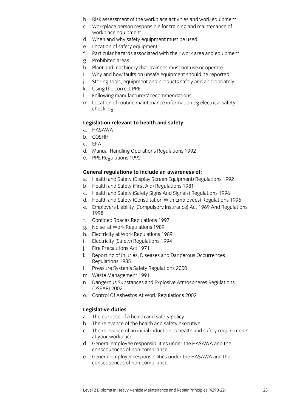- b. Risk assessment of the workplace activities and work equipment.
- c. Workplace person responsible for training and maintenance of workplace equipment.
- d. When and why safety equipment must be used.
- e. Location of safety equipment.
- f. Particular hazards associated with their work area and equipment.
- g. Prohibited areas.
- h. Plant and machinery that trainees must not use or operate.
- i. Why and how faults on unsafe equipment should be reported.
- j. Storing tools, equipment and products safely and appropriately.
- k. Using the correct PPE.
- l. Following manufacturers' recommendations.
- m. Location of routine maintenance information eg electrical safety check log.

#### **Legislation relevant to health and safety**

- a. HASAWA
- b. COSHH
- c. EPA
- d. Manual Handling Operations Regulations 1992
- e. PPE Regulations 1992

#### **General regulations to include an awareness of:**

- a. Health and Safety (Display Screen Equipment) Regulations 1992
- b. Health and Safety (First Aid) Regulations 1981
- c. Health and Safety (Safety Signs And Signals) Regulations 1996
- d. Health and Safety (Consultation With Employees) Regulations 1996
- e. Employers Liability (Compulsory Insurance) Act 1969 And Regulations 1998
- f. Confined Spaces Regulations 1997
- g. Noise at Work Regulations 1989
- h. Electricity at Work Regulations 1989
- i. Electricity (Safety) Regulations 1994
- j. Fire Precautions Act 1971
- k. Reporting of Injuries, Diseases and Dangerous Occurrences Regulations 1985
- l. Pressure Systems Safety Regulations 2000
- m. Waste Management 1991
- n. Dangerous Substances and Explosive Atmospheres Regulations (DSEAR) 2002
- o. Control Of Asbestos At Work Regulations 2002

#### **Legislative duties**

- a. The purpose of a health and safety policy.
- b. The relevance of the health and safety executive.
- c. The relevance of an initial induction to health and safety requirements at your workplace.
- d. General employee responsibilities under the HASAWA and the consequences of non-compliance.
- e. General employer responsibilities under the HASAWA and the consequences of non-compliance.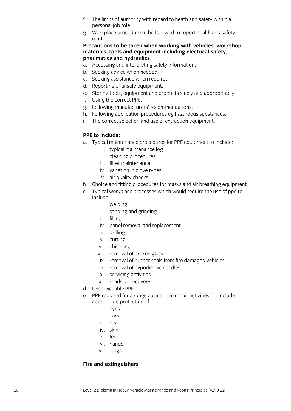- f. The limits of authority with regard to heath and safety within a personal job role.
- g. Workplace procedure to be followed to report health and safety matters.

#### **Precautions to be taken when working with vehicles, workshop materials, tools and equipment including electrical safety, pneumatics and hydraulics**

- a. Accessing and interpreting safety information.
- b. Seeking advice when needed.
- c. Seeking assistance when required.
- d. Reporting of unsafe equipment.
- e. Storing tools, equipment and products safely and appropriately.
- f. Using the correct PPE.
- g. Following manufacturers' recommendations.
- h. Following application procedures eg hazardous substances.
- i. The correct selection and use of extraction equipment.

#### **PPE to include:**

- a. Typical maintenance procedures for PPE equipment to include:
	- i. typical maintenance log
	- ii. cleaning procedures
	- iii. filter maintenance
	- iv. variation in glove types
	- v. air quality checks.
- b. Choice and fitting procedures for masks and air breathing equipment
- c. Typical workplace processes which would require the use of ppe to include:
	- i. welding
	- ii. sanding and grinding
	- iii. filling
	- iv. panel removal and replacement
	- v. drilling
	- vi. cutting
	- vii. chiselling
	- viii. removal of broken glass
	- ix. removal of rubber seals from fire damaged vehicles
	- x. removal of hypodermic needles
	- xi. servicing activities
	- xii. roadside recovery.
- d. Unserviceable PPE.
- e. PPE required for a range automotive repair activities. To include appropriate protection of:
	- i. eyes
	- ii. ears
	- iii. head
	- iv. skin
	- v. feet
	- vi. hands
	- vii. lungs.

#### **Fire and extinguishers**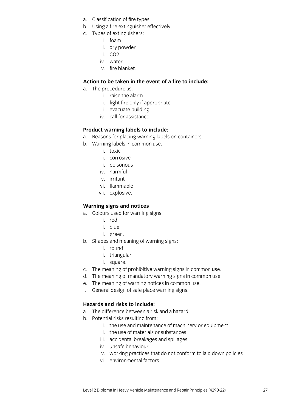- a. Classification of fire types.
- b. Using a fire extinguisher effectively.
- c. Types of extinguishers:
	- i. foam
	- ii. dry powder
	- iii. CO2
	- iv. water
	- v. fire blanket.

#### **Action to be taken in the event of a fire to include:**

- a. The procedure as:
	- i. raise the alarm
	- ii. fight fire only if appropriate
	- iii. evacuate building
	- iv. call for assistance.

#### **Product warning labels to include:**

- a. Reasons for placing warning labels on containers.
- b. Warning labels in common use:
	- i. toxic
	- ii. corrosive
	- iii. poisonous
	- iv. harmful
	- v. irritant
	- vi. flammable
	- vii. explosive.

#### **Warning signs and notices**

- a. Colours used for warning signs:
	- i. red
	- ii. blue
	- iii. green.
- b. Shapes and meaning of warning signs:
	- i. round
	- ii. triangular
	- iii. square.
- c. The meaning of prohibitive warning signs in common use.
- d. The meaning of mandatory warning signs in common use.
- e. The meaning of warning notices in common use.
- f. General design of safe place warning signs.

#### **Hazards and risks to include:**

- a. The difference between a risk and a hazard.
- b. Potential risks resulting from:
	- i. the use and maintenance of machinery or equipment
	- ii. the use of materials or substances
	- iii. accidental breakages and spillages
	- iv. unsafe behaviour
	- v. working practices that do not conform to laid down policies
	- vi. environmental factors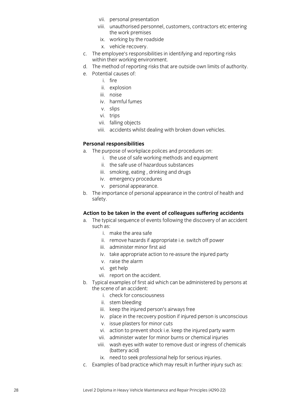- vii. personal presentation
- viii. unauthorised personnel, customers, contractors etc entering the work premises
- ix. working by the roadside
- x. vehicle recovery.
- c. The employee's responsibilities in identifying and reporting risks within their working environment.
- d. The method of reporting risks that are outside own limits of authority.
- e. Potential causes of:
	- i. fire
	- ii. explosion
	- iii. noise
	- iv. harmful fumes
	- v. slips
	- vi. trips
	- vii. falling objects
	- viii. accidents whilst dealing with broken down vehicles.

#### **Personal responsibilities**

- a. The purpose of workplace polices and procedures on:
	- i. the use of safe working methods and equipment
	- ii. the safe use of hazardous substances
	- iii. smoking, eating , drinking and drugs
	- iv. emergency procedures
	- v. personal appearance.
- b. The importance of personal appearance in the control of health and safety.

#### **Action to be taken in the event of colleagues suffering accidents**

- a. The typical sequence of events following the discovery of an accident such as:
	- i. make the area safe
	- ii. remove hazards if appropriate i.e. switch off power
	- iii. administer minor first aid
	- iv. take appropriate action to re-assure the injured party
	- v. raise the alarm
	- vi. get help
	- vii. report on the accident.
- b. Typical examples of first aid which can be administered by persons at the scene of an accident:
	- i. check for consciousness
	- ii. stem bleeding
	- iii. keep the injured person's airways free
	- iv. place in the recovery position if injured person is unconscious
	- v. issue plasters for minor cuts
	- vi. action to prevent shock i.e. keep the injured party warm
	- vii. administer water for minor burns or chemical injuries
	- viii. wash eyes with water to remove dust or ingress of chemicals (battery acid)
	- ix. need to seek professional help for serious injuries.
- c. Examples of bad practice which may result in further injury such as: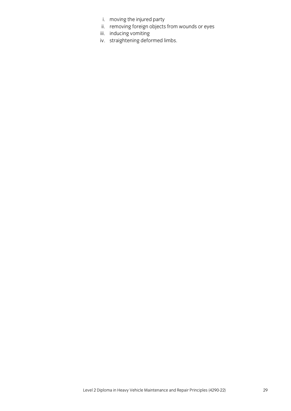- i. moving the injured party
- ii. removing foreign objects from wounds or eyes
- iii. inducing vomiting
- iv. straightening deformed limbs.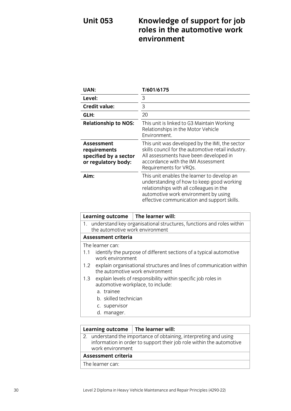## **Unit 053 Knowledge of support for job roles in the automotive work environment**

| UAN:                                                                              | T/601/6175                                                                                                                                                                                                                  |
|-----------------------------------------------------------------------------------|-----------------------------------------------------------------------------------------------------------------------------------------------------------------------------------------------------------------------------|
| Level:                                                                            | 3                                                                                                                                                                                                                           |
| <b>Credit value:</b>                                                              | 3                                                                                                                                                                                                                           |
| GLH:                                                                              | 20                                                                                                                                                                                                                          |
| <b>Relationship to NOS:</b>                                                       | This unit is linked to G3 Maintain Working<br>Relationships in the Motor Vehicle<br>Environment.                                                                                                                            |
| <b>Assessment</b><br>requirements<br>specified by a sector<br>or regulatory body: | This unit was developed by the IMI, the sector<br>skills council for the automotive retail industry.<br>All assessments have been developed in<br>accordance with the IMI Assessment<br>Requirements for VRQs.              |
| Aim:                                                                              | This unit enables the learner to develop an<br>understanding of how to keep good working<br>relationships with all colleagues in the<br>automotive work environment by using<br>effective communication and support skills. |

| Learning outcome $\vert$ The learner will:                              |                                                                                                        |  |  |  |  |
|-------------------------------------------------------------------------|--------------------------------------------------------------------------------------------------------|--|--|--|--|
| 1. understand key organisational structures, functions and roles within |                                                                                                        |  |  |  |  |
| the automotive work environment                                         |                                                                                                        |  |  |  |  |
| Assessment criteria                                                     |                                                                                                        |  |  |  |  |
| The learner can:                                                        |                                                                                                        |  |  |  |  |
| 1.1                                                                     | identify the purpose of different sections of a typical automotive                                     |  |  |  |  |
| work environment                                                        |                                                                                                        |  |  |  |  |
| 1.2                                                                     | explain organisational structures and lines of communication within<br>the automotive work environment |  |  |  |  |
|                                                                         |                                                                                                        |  |  |  |  |
| 1.3                                                                     | explain levels of responsibility within specific job roles in                                          |  |  |  |  |
|                                                                         | automotive workplace, to include:                                                                      |  |  |  |  |
| a. trainee                                                              |                                                                                                        |  |  |  |  |
| b. skilled technician                                                   |                                                                                                        |  |  |  |  |
| c. supervisor                                                           |                                                                                                        |  |  |  |  |
| d. manager.                                                             |                                                                                                        |  |  |  |  |
|                                                                         |                                                                                                        |  |  |  |  |

#### **Learning outcome The learner will:** 2. understand the importance of obtaining, interpreting and using information in order to support their job role within the automotive work environment **Assessment criteria**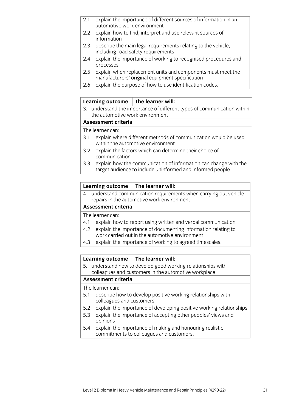- 2.1 explain the importance of different sources of information in an automotive work environment
- 2.2 explain how to find, interpret and use relevant sources of information
- 2.3 describe the main legal requirements relating to the vehicle, including road safety requirements
- 2.4 explain the importance of working to recognised procedures and processes
- 2.5 explain when replacement units and components must meet the manufacturers' original equipment specification
- 2.6 explain the purpose of how to use identification codes.

#### **Learning outcome The learner will:**

3. understand the importance of different types of communication within the automotive work environment

#### **Assessment criteria**

The learner can:

- 3.1 explain where different methods of communication would be used within the automotive environment
- 3.2 explain the factors which can determine their choice of communication
- 3.3 explain how the communication of information can change with the target audience to include uninformed and informed people.

#### **Learning outcome The learner will:**

4. understand communication requirements when carrying out vehicle repairs in the automotive work environment

#### **Assessment criteria**

The learner can:

- 4.1 explain how to report using written and verbal communication
- 4.2 explain the importance of documenting information relating to work carried out in the automotive environment
- 4.3 explain the importance of working to agreed timescales.

#### **Learning outcome The learner will:**

5. understand how to develop good working relationships with colleagues and customers in the automotive workplace

#### **Assessment criteria**

- 5.1 describe how to develop positive working relationships with colleagues and customers
- 5.2 explain the importance of developing positive working relationships
- 5.3 explain the importance of accepting other peoples' views and opinions
- 5.4 explain the importance of making and honouring realistic commitments to colleagues and customers.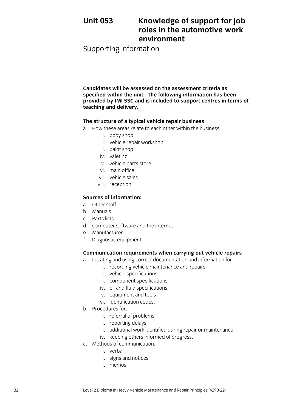## **Unit 053 Knowledge of support for job roles in the automotive work environment**

Supporting information

**Candidates will be assessed on the assessment criteria as specified within the unit. The following information has been provided by IMI SSC and is included to support centres in terms of teaching and delivery.**

#### **The structure of a typical vehicle repair business**

- a. How these areas relate to each other within the business:
	- i. body shop
		- ii. vehicle repair workshop
		- iii. paint shop
		- iv. valeting
		- v. vehicle parts store
		- vi. main office
	- vii. vehicle sales
	- viii. reception.

#### **Sources of information:**

- a. Other staff.
- b. Manuals.
- c. Parts lists.
- d. Computer software and the internet.
- e. Manufacturer.
- f. Diagnostic equipment.

#### **Communication requirements when carrying out vehicle repairs**

- a. Locating and using correct documentation and information for:
	- i. recording vehicle maintenance and repairs
	- ii. vehicle specifications
	- iii. component specifications
	- iv. oil and fluid specifications
	- v. equipment and tools
	- vi. identification codes.
- b. Procedures for:
	- i. referral of problems
	- ii. reporting delays
	- iii. additional work identified during repair or maintenance
	- iv. keeping others informed of progress.
- c. Methods of communication:
	- i. verbal
	- ii. signs and notices
	- iii. memos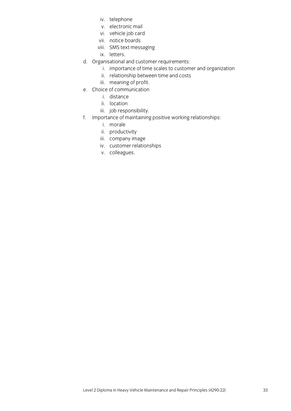- iv. telephone
- v. electronic mail
- vi. vehicle job card
- vii. notice boards
- viii. SMS text messaging
- ix. letters.
- d. Organisational and customer requirements:
	- i. importance of time scales to customer and organization
	- ii. relationship between time and costs
	- iii. meaning of profit.
- e. Choice of communication
	- i. distance
	- ii. location
	- iii. job responsibility.
- f. Importance of maintaining positive working relationships:
	- i. morale
	- ii. productivity
	- iii. company image
	- iv. customer relationships
	- v. colleagues.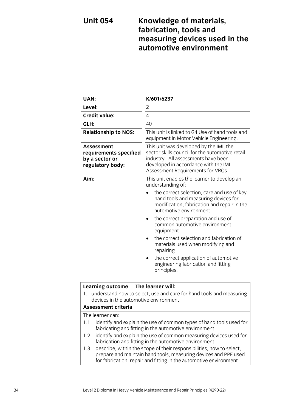## **Unit 054 Knowledge of materials, fabrication, tools and measuring devices used in the automotive environment**

| UAN:                                                                                                                                                                                                                | K/601/6237                                                                                                                                                                                                     |  |  |  |  |
|---------------------------------------------------------------------------------------------------------------------------------------------------------------------------------------------------------------------|----------------------------------------------------------------------------------------------------------------------------------------------------------------------------------------------------------------|--|--|--|--|
| Level:                                                                                                                                                                                                              | $\overline{2}$                                                                                                                                                                                                 |  |  |  |  |
| <b>Credit value:</b>                                                                                                                                                                                                | 4                                                                                                                                                                                                              |  |  |  |  |
| GLH:                                                                                                                                                                                                                | 40                                                                                                                                                                                                             |  |  |  |  |
| <b>Relationship to NOS:</b>                                                                                                                                                                                         | This unit is linked to G4 Use of hand tools and<br>equipment in Motor Vehicle Engineering.                                                                                                                     |  |  |  |  |
| Assessment<br>requirements specified<br>by a sector or<br>regulatory body:                                                                                                                                          | This unit was developed by the IMI, the<br>sector skills council for the automotive retail<br>industry. All assessments have been<br>developed in accordance with the IMI<br>Assessment Requirements for VRQs. |  |  |  |  |
| Aim:                                                                                                                                                                                                                | This unit enables the learner to develop an<br>understanding of:                                                                                                                                               |  |  |  |  |
|                                                                                                                                                                                                                     | the correct selection, care and use of key<br>hand tools and measuring devices for<br>modification, fabrication and repair in the<br>automotive environment                                                    |  |  |  |  |
|                                                                                                                                                                                                                     | the correct preparation and use of<br>common automotive environment<br>equipment                                                                                                                               |  |  |  |  |
|                                                                                                                                                                                                                     | the correct selection and fabrication of<br>materials used when modifying and<br>repairing                                                                                                                     |  |  |  |  |
|                                                                                                                                                                                                                     | the correct application of automotive<br>٠<br>engineering fabrication and fitting<br>principles.                                                                                                               |  |  |  |  |
| <b>Learning outcome</b>                                                                                                                                                                                             | The learner will:                                                                                                                                                                                              |  |  |  |  |
| understand how to select, use and care for hand tools and measuring<br>1.<br>devices in the automotive environment                                                                                                  |                                                                                                                                                                                                                |  |  |  |  |
| <b>Assessment criteria</b>                                                                                                                                                                                          |                                                                                                                                                                                                                |  |  |  |  |
| The learner can:                                                                                                                                                                                                    |                                                                                                                                                                                                                |  |  |  |  |
| identify and explain the use of common types of hand tools used for<br>1.1<br>fabricating and fitting in the automotive environment                                                                                 |                                                                                                                                                                                                                |  |  |  |  |
| identify and explain the use of common measuring devices used for<br>1.2<br>fabrication and fitting in the automotive environment                                                                                   |                                                                                                                                                                                                                |  |  |  |  |
| describe, within the scope of their responsibilities, how to select,<br>1.3<br>prepare and maintain hand tools, measuring devices and PPE used<br>for fabrication, repair and fitting in the automotive environment |                                                                                                                                                                                                                |  |  |  |  |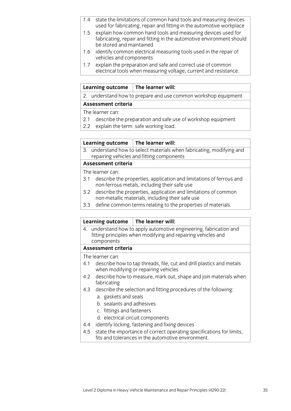- 1.4 state the limitations of common hand tools and measuring devices used for fabricating, repair and fitting in the automotive workplace
- 1.5 explain how common hand tools and measuring devices used for fabricating, repair and fitting in the automotive environment should be stored and maintained
- 1.6 identify common electrical measuring tools used in the repair of vehicles and components
- 1.7 explain the preparation and safe and correct use of common electrical tools when measuring voltage, current and resistance.

#### **Learning outcome The learner will:**

2. understand how to prepare and use common workshop equipment

#### **Assessment criteria**

The learner can:

- 2.1 describe the preparation and safe use of workshop equipment
- 2.2 explain the term: safe working load.

#### **Learning outcome The learner will:**

3. understand how to select materials when fabricating, modifying and repairing vehicles and fitting components

#### **Assessment criteria**

The learner can:

- 3.1 describe the properties, application and limitations of ferrous and non-ferrous metals, including their safe use
- 3.2 describe the properties, application and limitations of common non-metallic materials, including their safe use
- 3.3 define common terms relating to the properties of materials.

#### **Learning outcome The learner will:**

4. understand how to apply automotive engineering, fabrication and fitting principles when modifying and repairing vehicles and components

#### **Assessment criteria**

- 4.1 describe how to tap threads, file, cut and drill plastics and metals when modifying or repairing vehicles
- 4.2 describe how to measure, mark out, shape and join materials when fabricating
- 4.3 describe the selection and fitting procedures of the following:
	- a. gaskets and seals
	- b. sealants and adhesives
	- c. fittings and fasteners
	- d. electrical circuit components
- 4.4 identify locking, fastening and fixing devices
- 4.5 state the importance of correct operating specifications for limits, fits and tolerances in the automotive environment.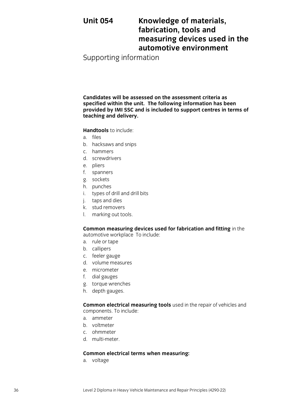## **Unit 054 Knowledge of materials, fabrication, tools and measuring devices used in the automotive environment**

Supporting information

**Candidates will be assessed on the assessment criteria as specified within the unit. The following information has been provided by IMI SSC and is included to support centres in terms of teaching and delivery.**

**Handtools** to include:

- a. files
- b. hacksaws and snips
- c. hammers
- d. screwdrivers
- e. pliers
- f. spanners
- g. sockets
- h. punches
- i. types of drill and drill bits
- j. taps and dies
- k. stud removers
- l. marking out tools.

#### **Common measuring devices used for fabrication and fitting** in the automotive workplace To include:

- a. rule or tape
- b. callipers
- c. feeler gauge
- d. volume measures
- e. micrometer
- f. dial gauges
- g. torque wrenches
- h. depth gauges.

**Common electrical measuring tools** used in the repair of vehicles and components. To include:

- a. ammeter
- b. voltmeter
- c. ohmmeter
- d. multi-meter.

#### **Common electrical terms when measuring:**

a. voltage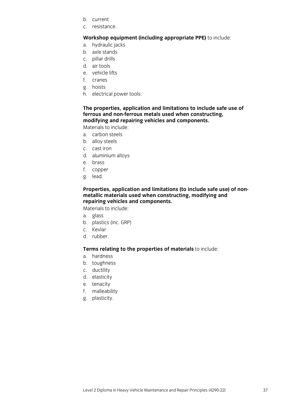- b. current
- c. resistance.

### **Workshop equipment (including appropriate PPE)** to include:

- a. hydraulic jacks
- b. axle stands
- c. pillar drills
- d. air tools
- e. vehicle lifts
- f. cranes
- g. hoists
- h. electrical power tools.

### **The properties, application and limitations to include safe use of ferrous and non-ferrous metals used when constructing, modifying and repairing vehicles and components.**

Materials to include:

- a. carbon steels
- b. alloy steels
- c. cast iron
- d. aluminium alloys
- e. brass
- f. copper
- g. lead.

### **Properties, application and limitations (to include safe use) of nonmetallic materials used when constructing, modifying and repairing vehicles and components.**

Materials to include:

- a. glass
- b. plastics (inc. GRP)
- c. Kevlar
- d. rubber.

# **Terms relating to the properties of materials** to include:

- a. hardness
- b. toughness
- c. ductility
- d. elasticity
- e. tenacity
- f. malleability
- g. plasticity.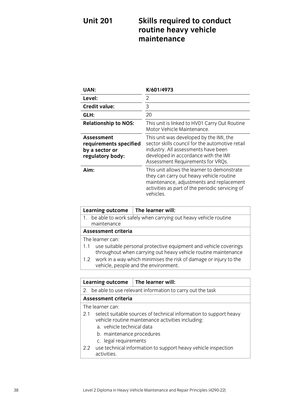# **Unit 201 Skills required to conduct routine heavy vehicle maintenance**

| <b>UAN:</b>                                                                | K/601/4973                                                                                                                                                                                                     |
|----------------------------------------------------------------------------|----------------------------------------------------------------------------------------------------------------------------------------------------------------------------------------------------------------|
| Level:                                                                     | 2                                                                                                                                                                                                              |
| <b>Credit value:</b>                                                       | 3                                                                                                                                                                                                              |
| GLH:                                                                       | 20                                                                                                                                                                                                             |
| <b>Relationship to NOS:</b>                                                | This unit is linked to HV01 Carry Out Routine<br>Motor Vehicle Maintenance.                                                                                                                                    |
| Assessment<br>requirements specified<br>by a sector or<br>regulatory body: | This unit was developed by the IMI, the<br>sector skills council for the automotive retail<br>industry. All assessments have been<br>developed in accordance with the IMI<br>Assessment Requirements for VRQs. |
| Aim:                                                                       | This unit allows the learner to demonstrate<br>they can carry out heavy vehicle routine<br>maintenance, adjustments and replacement<br>activities as part of the periodic servicing of<br>vehicles.            |

| <b>Learning outcome</b>                                                       | The learner will:                                                                                                                  |  |
|-------------------------------------------------------------------------------|------------------------------------------------------------------------------------------------------------------------------------|--|
| be able to work safely when carrying out heavy vehicle routine<br>maintenance |                                                                                                                                    |  |
| <b>Assessment criteria</b>                                                    |                                                                                                                                    |  |
| The learner can:                                                              |                                                                                                                                    |  |
| 1.1                                                                           | use suitable personal protective equipment and vehicle coverings<br>throughout when carrying out heavy vehicle routine maintenance |  |
| 1.2                                                                           | work in a way which minimises the risk of damage or injury to the<br>vehicle, people and the environment.                          |  |

|                     | <b>Learning outcome</b>                               | The learner will:                                                                                                      |
|---------------------|-------------------------------------------------------|------------------------------------------------------------------------------------------------------------------------|
|                     |                                                       | 2. be able to use relevant information to carry out the task                                                           |
| Assessment criteria |                                                       |                                                                                                                        |
|                     | The learner can:                                      |                                                                                                                        |
| 2.1                 | a vehicle technical data<br>b. maintenance procedures | select suitable sources of technical information to support heavy<br>vehicle routine maintenance activities including: |
| $2.2^{\circ}$       | c. legal requirements<br>activities.                  | use technical information to support heavy vehicle inspection                                                          |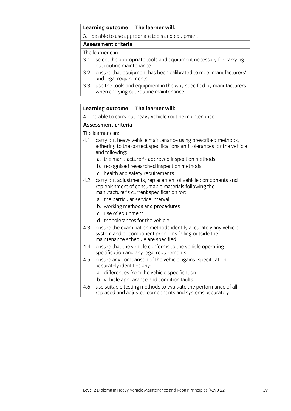### **Learning outcome The learner will:**

3. be able to use appropriate tools and equipment

### **Assessment criteria**

The learner can:

- 3.1 select the appropriate tools and equipment necessary for carrying out routine maintenance
- 3.2 ensure that equipment has been calibrated to meet manufacturers' and legal requirements
- 3.3 use the tools and equipment in the way specified by manufacturers when carrying out routine maintenance.

### **Learning outcome The learner will:**

4. be able to carry out heavy vehicle routine maintenance

### **Assessment criteria**

- 4.1 carry out heavy vehicle maintenance using prescribed methods, adhering to the correct specifications and tolerances for the vehicle and following:
	- a. the manufacturer's approved inspection methods
	- b. recognised researched inspection methods
	- c. health and safety requirements
- 4.2 carry out adjustments, replacement of vehicle components and replenishment of consumable materials following the manufacturer's current specification for:
	- a. the particular service interval
	- b. working methods and procedures
	- c. use of equipment
	- d. the tolerances for the vehicle
- 4.3 ensure the examination methods identify accurately any vehicle system and or component problems falling outside the maintenance schedule are specified
- 4.4 ensure that the vehicle conforms to the vehicle operating specification and any legal requirements
- 4.5 ensure any comparison of the vehicle against specification accurately identifies any:
	- a. differences from the vehicle specification
	- b. vehicle appearance and condition faults
- 4.6 use suitable testing methods to evaluate the performance of all replaced and adjusted components and systems accurately.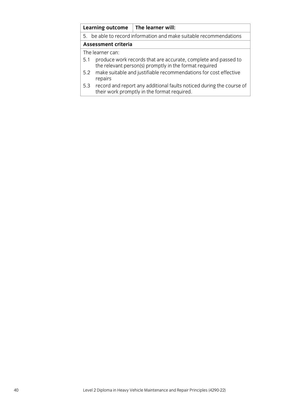|                            | <b>Learning outcome</b>                                            | The learner will:                                                                                                        |
|----------------------------|--------------------------------------------------------------------|--------------------------------------------------------------------------------------------------------------------------|
|                            | 5. be able to record information and make suitable recommendations |                                                                                                                          |
| <b>Assessment criteria</b> |                                                                    |                                                                                                                          |
| The learner can:           |                                                                    |                                                                                                                          |
| 5.1                        |                                                                    | produce work records that are accurate, complete and passed to<br>the relevant person(s) promptly in the format required |
| 5.2                        | repairs                                                            | make suitable and justifiable recommendations for cost effective                                                         |
| 5.3                        |                                                                    | record and report any additional faults noticed during the course of<br>their work promptly in the format required.      |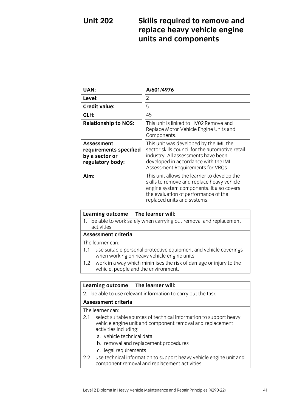# **Unit 202 Skills required to remove and replace heavy vehicle engine units and components**

| UAN:                                                                              | A/601/4976                                                                                                                                                                                                     |
|-----------------------------------------------------------------------------------|----------------------------------------------------------------------------------------------------------------------------------------------------------------------------------------------------------------|
| Level:                                                                            | 2                                                                                                                                                                                                              |
| <b>Credit value:</b>                                                              | 5                                                                                                                                                                                                              |
| GLH:                                                                              | 45                                                                                                                                                                                                             |
| <b>Relationship to NOS:</b>                                                       | This unit is linked to HV02 Remove and<br>Replace Motor Vehicle Engine Units and<br>Components.                                                                                                                |
| <b>Assessment</b><br>requirements specified<br>by a sector or<br>regulatory body: | This unit was developed by the IMI, the<br>sector skills council for the automotive retail<br>industry. All assessments have been<br>developed in accordance with the IMI<br>Assessment Requirements for VRQs. |
| Aim:                                                                              | This unit allows the learner to develop the<br>skills to remove and replace heavy vehicle<br>engine system components. It also covers<br>the evaluation of performance of the<br>replaced units and systems.   |

|     | Learning outcome           | $\mid$ The learner will:                                                                                       |  |
|-----|----------------------------|----------------------------------------------------------------------------------------------------------------|--|
|     | activities                 | 1. be able to work safely when carrying out removal and replacement                                            |  |
|     | <b>Assessment criteria</b> |                                                                                                                |  |
|     | The learner can:           |                                                                                                                |  |
| 1.1 |                            | use suitable personal protective equipment and vehicle coverings<br>when working on heavy vehicle engine units |  |
|     |                            | 1.2 work in a way which minimises the risk of damage or injury to the<br>vehicle, people and the environment.  |  |

|     | <b>Learning outcome</b>                                                     | The learner will:                                                                                                                                                       |  |
|-----|-----------------------------------------------------------------------------|-------------------------------------------------------------------------------------------------------------------------------------------------------------------------|--|
|     | 2. be able to use relevant information to carry out the task                |                                                                                                                                                                         |  |
|     | Assessment criteria                                                         |                                                                                                                                                                         |  |
|     | The learner can:                                                            |                                                                                                                                                                         |  |
| 2.1 | activities including:<br>a. vehicle technical data<br>c. legal requirements | select suitable sources of technical information to support heavy<br>vehicle engine unit and component removal and replacement<br>b. removal and replacement procedures |  |
|     |                                                                             | 2.2 use technical information to support heavy vehicle engine unit and<br>component removal and replacement activities.                                                 |  |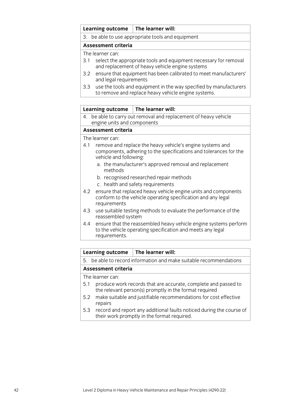### **Learning outcome The learner will:**

3. be able to use appropriate tools and equipment

### **Assessment criteria**

The learner can:

- 3.1 select the appropriate tools and equipment necessary for removal and replacement of heavy vehicle engine systems
- 3.2 ensure that equipment has been calibrated to meet manufacturers' and legal requirements
- 3.3 use the tools and equipment in the way specified by manufacturers to remove and replace heavy vehicle engine systems.

### **Learning outcome The learner will:**

4. be able to carry out removal and replacement of heavy vehicle engine units and components

### **Assessment criteria**

The learner can:

- 4.1 remove and replace the heavy vehicle's engine systems and components, adhering to the specifications and tolerances for the vehicle and following:
	- a. the manufacturer's approved removal and replacement methods
	- b. recognised researched repair methods
	- c. health and safety requirements
- 4.2 ensure that replaced heavy vehicle engine units and components conform to the vehicle operating specification and any legal requirements
- 4.3 use suitable testing methods to evaluate the performance of the reassembled system
- 4.4 ensure that the reassembled heavy vehicle engine systems perform to the vehicle operating specification and meets any legal requirements.

### **Learning outcome The learner will:**

5. be able to record information and make suitable recommendations

### **Assessment criteria**

- 5.1 produce work records that are accurate, complete and passed to the relevant person(s) promptly in the format required
- 5.2 make suitable and justifiable recommendations for cost effective repairs
- 5.3 record and report any additional faults noticed during the course of their work promptly in the format required.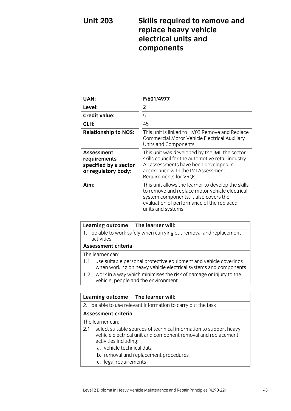# **Unit 203 Skills required to remove and replace heavy vehicle electrical units and components**

| UAN:                                                                              | F/601/4977                                                                                                                                                                                                       |
|-----------------------------------------------------------------------------------|------------------------------------------------------------------------------------------------------------------------------------------------------------------------------------------------------------------|
| Level:                                                                            | 2                                                                                                                                                                                                                |
| <b>Credit value:</b>                                                              | 5                                                                                                                                                                                                                |
| GLH:                                                                              | 45                                                                                                                                                                                                               |
| <b>Relationship to NOS:</b>                                                       | This unit is linked to HV03 Remove and Replace<br>Commercial Motor Vehicle Electrical Auxiliary<br>Units and Components.                                                                                         |
| <b>Assessment</b><br>requirements<br>specified by a sector<br>or regulatory body: | This unit was developed by the IMI, the sector<br>skills council for the automotive retail industry.<br>All assessments have been developed in<br>accordance with the IMI Assessment<br>Requirements for VRQs.   |
| Aim:                                                                              | This unit allows the learner to develop the skills<br>to remove and replace motor vehicle electrical<br>system components. It also covers the<br>evaluation of performance of the replaced<br>units and systems. |

|                                                                          | Learning outcome                                                                                                                    | The learner will: |  |
|--------------------------------------------------------------------------|-------------------------------------------------------------------------------------------------------------------------------------|-------------------|--|
| 1.                                                                       | be able to work safely when carrying out removal and replacement                                                                    |                   |  |
|                                                                          | activities                                                                                                                          |                   |  |
|                                                                          | <b>Assessment criteria</b>                                                                                                          |                   |  |
|                                                                          | The learner can:                                                                                                                    |                   |  |
| 1.1                                                                      | use suitable personal protective equipment and vehicle coverings<br>when working on heavy vehicle electrical systems and components |                   |  |
|                                                                          | 1.2 work in a way which minimises the risk of damage or injury to the<br>vehicle, people and the environment.                       |                   |  |
|                                                                          |                                                                                                                                     |                   |  |
|                                                                          | The learner will:<br><b>Learning outcome</b>                                                                                        |                   |  |
| be able to use relevant information to carry out the task<br>$2^{\circ}$ |                                                                                                                                     |                   |  |
|                                                                          |                                                                                                                                     |                   |  |

### **Assessment criteria**

- 2.1 select suitable sources of technical information to support heavy vehicle electrical unit and component removal and replacement activities including:
	- a. vehicle technical data
	- b. removal and replacement procedures
	- c. legal requirements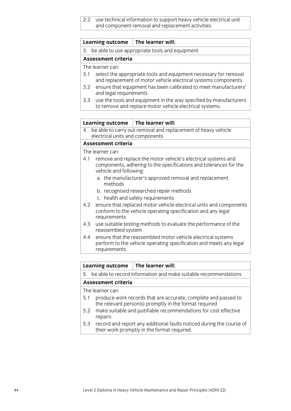2.2 use technical information to support heavy vehicle electrical unit and component removal and replacement activities.

| Learning outcome $\vert$ The learner will: |  |
|--------------------------------------------|--|
|--------------------------------------------|--|

3. be able to use appropriate tools and equipment

#### **Assessment criteria**

The learner can:

- 3.1 select the appropriate tools and equipment necessary for removal and replacement of motor vehicle electrical systems components
- 3.2 ensure that equipment has been calibrated to meet manufacturers' and legal requirements
- 3.3 use the tools and equipment in the way specified by manufacturers to remove and replace motor vehicle electrical systems.

### **Learning outcome The learner will:**

4. be able to carry out removal and replacement of heavy vehicle electrical units and components

# **Assessment criteria**

The learner can:

- 4.1 remove and replace the motor vehicle's electrical systems and components, adhering to the specifications and tolerances for the vehicle and following:
	- a. the manufacturer's approved removal and replacement methods
	- b. recognised researched repair methods
	- c. health and safety requirements
- 4.2 ensure that replaced motor vehicle electrical units and components conform to the vehicle operating specification and any legal requirements
- 4.3 use suitable testing methods to evaluate the performance of the reassembled system
- 4.4 ensure that the reassembled motor vehicle electrical systems perform to the vehicle operating specification and meets any legal requirements.

# **Learning outcome The learner will:**

5. be able to record information and make suitable recommendations

### **Assessment criteria**

- 5.1 produce work records that are accurate, complete and passed to the relevant person(s) promptly in the format required
- 5.2 make suitable and justifiable recommendations for cost effective repairs
- 5.3 record and report any additional faults noticed during the course of their work promptly in the format required.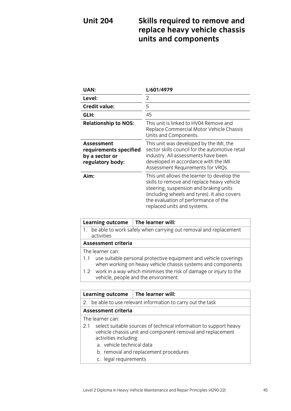# **Unit 204 Skills required to remove and replace heavy vehicle chassis units and components**

| <b>UAN:</b>                                                                       | L/601/4979                                                                                                                                                                                                                                                 |
|-----------------------------------------------------------------------------------|------------------------------------------------------------------------------------------------------------------------------------------------------------------------------------------------------------------------------------------------------------|
| Level:                                                                            | 2                                                                                                                                                                                                                                                          |
| <b>Credit value:</b>                                                              | 5                                                                                                                                                                                                                                                          |
| GLH:                                                                              | 45                                                                                                                                                                                                                                                         |
| <b>Relationship to NOS:</b>                                                       | This unit is linked to HV04 Remove and<br>Replace Commercial Motor Vehicle Chassis<br>Units and Components.                                                                                                                                                |
| <b>Assessment</b><br>requirements specified<br>by a sector or<br>regulatory body: | This unit was developed by the IMI, the<br>sector skills council for the automotive retail<br>industry. All assessments have been<br>developed in accordance with the IMI<br>Assessment Requirements for VRQs.                                             |
| Aim:                                                                              | This unit allows the learner to develop the<br>skills to remove and replace heavy vehicle<br>steering, suspension and braking units<br>(including wheels and tyres). It also covers<br>the evaluation of performance of the<br>replaced units and systems. |

| <b>Learning outcome</b>                                                           | The learner will:                                                                                                                |  |
|-----------------------------------------------------------------------------------|----------------------------------------------------------------------------------------------------------------------------------|--|
| 1. be able to work safely when carrying out removal and replacement<br>activities |                                                                                                                                  |  |
| <b>Assessment criteria</b>                                                        |                                                                                                                                  |  |
| The learner can:                                                                  |                                                                                                                                  |  |
| 1.1                                                                               | use suitable personal protective equipment and vehicle coverings<br>when working on heavy vehicle chassis systems and components |  |
|                                                                                   | 1.2 work in a way which minimises the risk of damage or injury to the<br>vehicle, people and the environment.                    |  |

| <b>Learning outcome</b>                                                                                                                                                                                                                                        | The learner will:                                            |  |
|----------------------------------------------------------------------------------------------------------------------------------------------------------------------------------------------------------------------------------------------------------------|--------------------------------------------------------------|--|
|                                                                                                                                                                                                                                                                | 2. be able to use relevant information to carry out the task |  |
| <b>Assessment criteria</b>                                                                                                                                                                                                                                     |                                                              |  |
| The learner can:                                                                                                                                                                                                                                               |                                                              |  |
| select suitable sources of technical information to support heavy<br>2.1<br>vehicle chassis unit and component removal and replacement<br>activities including:<br>a. vehicle technical data<br>b. removal and replacement procedures<br>c. legal requirements |                                                              |  |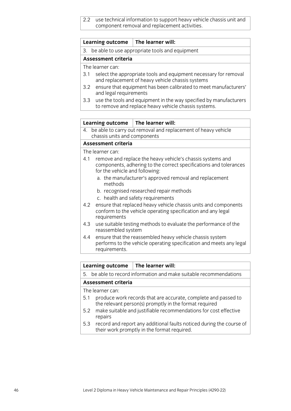2.2 use technical information to support heavy vehicle chassis unit and component removal and replacement activities.

| <b>Learning outcome</b> | The learner will: |
|-------------------------|-------------------|
|-------------------------|-------------------|

3. be able to use appropriate tools and equipment

### **Assessment criteria**

The learner can:

- 3.1 select the appropriate tools and equipment necessary for removal and replacement of heavy vehicle chassis systems
- 3.2 ensure that equipment has been calibrated to meet manufacturers' and legal requirements
- 3.3 use the tools and equipment in the way specified by manufacturers to remove and replace heavy vehicle chassis systems.

### **Learning outcome The learner will:**

4. be able to carry out removal and replacement of heavy vehicle chassis units and components

# **Assessment criteria**

The learner can:

- 4.1 remove and replace the heavy vehicle's chassis systems and components, adhering to the correct specifications and tolerances for the vehicle and following:
	- a. the manufacturer's approved removal and replacement methods
	- b. recognised researched repair methods
	- c. health and safety requirements
- 4.2 ensure that replaced heavy vehicle chassis units and components conform to the vehicle operating specification and any legal requirements
- 4.3 use suitable testing methods to evaluate the performance of the reassembled system
- 4.4 ensure that the reassembled heavy vehicle chassis system performs to the vehicle operating specification and meets any legal requirements.

# **Learning outcome The learner will:**

5. be able to record information and make suitable recommendations

### **Assessment criteria**

- 5.1 produce work records that are accurate, complete and passed to the relevant person(s) promptly in the format required
- 5.2 make suitable and justifiable recommendations for cost effective repairs
- 5.3 record and report any additional faults noticed during the course of their work promptly in the format required.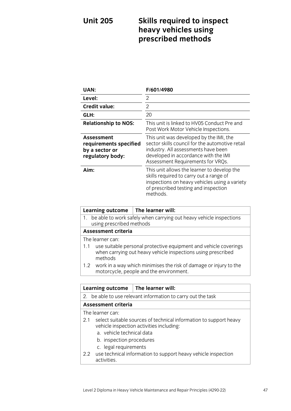# **Unit 205 Skills required to inspect heavy vehicles using prescribed methods**

| UAN:                                                                       | F/601/4980                                                                                                                                                                                                     |
|----------------------------------------------------------------------------|----------------------------------------------------------------------------------------------------------------------------------------------------------------------------------------------------------------|
| Level:                                                                     | 2                                                                                                                                                                                                              |
| <b>Credit value:</b>                                                       | 2                                                                                                                                                                                                              |
| GLH:                                                                       | 20                                                                                                                                                                                                             |
| <b>Relationship to NOS:</b>                                                | This unit is linked to HV05 Conduct Pre and<br>Post Work Motor Vehicle Inspections.                                                                                                                            |
| Assessment<br>requirements specified<br>by a sector or<br>regulatory body: | This unit was developed by the IMI, the<br>sector skills council for the automotive retail<br>industry. All assessments have been<br>developed in accordance with the IMI<br>Assessment Requirements for VRQs. |
| Aim:                                                                       | This unit allows the learner to develop the<br>skills required to carry out a range of<br>inspections on heavy vehicles using a variety<br>of prescribed testing and inspection<br>methods.                    |

| <b>Learning outcome</b>                                                                                                                            | The learner will:                                                                                            |  |
|----------------------------------------------------------------------------------------------------------------------------------------------------|--------------------------------------------------------------------------------------------------------------|--|
| 1. be able to work safely when carrying out heavy vehicle inspections<br>using prescribed methods                                                  |                                                                                                              |  |
| <b>Assessment criteria</b>                                                                                                                         |                                                                                                              |  |
| The learner can:                                                                                                                                   |                                                                                                              |  |
| use suitable personal protective equipment and vehicle coverings<br>1.1<br>when carrying out heavy vehicle inspections using prescribed<br>methods |                                                                                                              |  |
| 1.2 <sub>1</sub>                                                                                                                                   | work in a way which minimises the risk of damage or injury to the<br>motorcycle, people and the environment. |  |
|                                                                                                                                                    |                                                                                                              |  |
| <b>Learning outcome</b>                                                                                                                            | The learner will:                                                                                            |  |
| 2.                                                                                                                                                 | be able to use relevant information to carry out the task                                                    |  |
| <b>Assessment criteria</b>                                                                                                                         |                                                                                                              |  |
| The learner can:                                                                                                                                   |                                                                                                              |  |
| select suitable sources of technical information to support heavy<br>2.1<br>vehicle inspection activities including:                               |                                                                                                              |  |
|                                                                                                                                                    | a. vehicle technical data                                                                                    |  |
| b. inspection procedures                                                                                                                           |                                                                                                              |  |

- c. legal requirements
- 2.2 use technical information to support heavy vehicle inspection activities.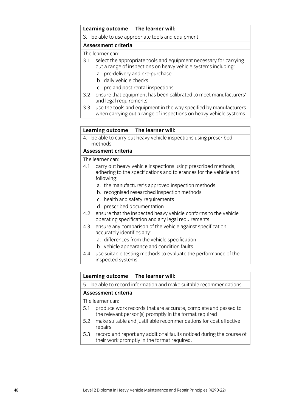## **Learning outcome The learner will:**

3. be able to use appropriate tools and equipment

# **Assessment criteria**

The learner can:

- 3.1 select the appropriate tools and equipment necessary for carrying out a range of inspections on heavy vehicle systems including:
	- a. pre-delivery and pre-purchase
	- b. daily vehicle checks
	- c. pre and post rental inspections
- 3.2 ensure that equipment has been calibrated to meet manufacturers' and legal requirements
- 3.3 use the tools and equipment in the way specified by manufacturers when carrying out a range of inspections on heavy vehicle systems.

## **Learning outcome The learner will:**

4. be able to carry out heavy vehicle inspections using prescribed methods

## **Assessment criteria**

The learner can:

- 4.1 carry out heavy vehicle inspections using prescribed methods, adhering to the specifications and tolerances for the vehicle and following:
	- a. the manufacturer's approved inspection methods
	- b. recognised researched inspection methods
	- c. health and safety requirements
	- d. prescribed documentation
- 4.2 ensure that the inspected heavy vehicle conforms to the vehicle operating specification and any legal requirements
- 4.3 ensure any comparison of the vehicle against specification accurately identifies any:
	- a. differences from the vehicle specification
	- b. vehicle appearance and condition faults
- 4.4 use suitable testing methods to evaluate the performance of the inspected systems.

## **Learning outcome The learner will:**

5. be able to record information and make suitable recommendations

## **Assessment criteria**

- 5.1 produce work records that are accurate, complete and passed to the relevant person(s) promptly in the format required
- 5.2 make suitable and justifiable recommendations for cost effective repairs
- 5.3 record and report any additional faults noticed during the course of their work promptly in the format required.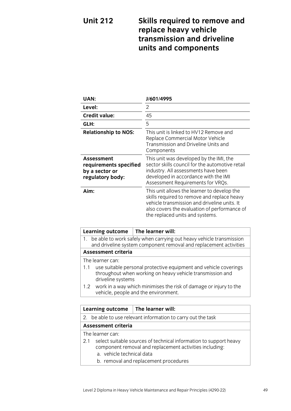# **Unit 212 Skills required to remove and replace heavy vehicle transmission and driveline units and components**

| UAN:                                                                       | J/601/4995                                                                                                                                                                                                                    |
|----------------------------------------------------------------------------|-------------------------------------------------------------------------------------------------------------------------------------------------------------------------------------------------------------------------------|
| Level:                                                                     | 2                                                                                                                                                                                                                             |
| <b>Credit value:</b>                                                       | 45                                                                                                                                                                                                                            |
| GLH:                                                                       | 5                                                                                                                                                                                                                             |
| <b>Relationship to NOS:</b>                                                | This unit is linked to HV12 Remove and<br>Replace Commercial Motor Vehicle<br>Transmission and Driveline Units and<br>Components                                                                                              |
| Assessment<br>requirements specified<br>by a sector or<br>regulatory body: | This unit was developed by the IMI, the<br>sector skills council for the automotive retail<br>industry. All assessments have been<br>developed in accordance with the IMI<br>Assessment Requirements for VRQs.                |
| Aim:                                                                       | This unit allows the learner to develop the<br>skills required to remove and replace heavy<br>vehicle transmission and driveline units. It<br>also covers the evaluation of performance of<br>the replaced units and systems. |

|                            | <b>Learning outcome</b>                                                                                                                            | The learner will:                                                                                             |
|----------------------------|----------------------------------------------------------------------------------------------------------------------------------------------------|---------------------------------------------------------------------------------------------------------------|
| 1.                         | be able to work safely when carrying out heavy vehicle transmission<br>and driveline system component removal and replacement activities           |                                                                                                               |
| <b>Assessment criteria</b> |                                                                                                                                                    |                                                                                                               |
| The learner can:           |                                                                                                                                                    |                                                                                                               |
| 1.1                        | use suitable personal protective equipment and vehicle coverings<br>throughout when working on heavy vehicle transmission and<br>driveline systems |                                                                                                               |
|                            |                                                                                                                                                    | 1.2 work in a way which minimises the risk of damage or injury to the<br>vehicle, people and the environment. |

| <b>Learning outcome</b>                                                                                                             | The learner will:                                            |  |
|-------------------------------------------------------------------------------------------------------------------------------------|--------------------------------------------------------------|--|
|                                                                                                                                     | 2. be able to use relevant information to carry out the task |  |
| <b>Assessment criteria</b>                                                                                                          |                                                              |  |
| The learner can:                                                                                                                    |                                                              |  |
| select suitable sources of technical information to support heavy<br>2.1<br>component removal and replacement activities including: |                                                              |  |
| a. vehicle technical data                                                                                                           |                                                              |  |
|                                                                                                                                     | b. removal and replacement procedures                        |  |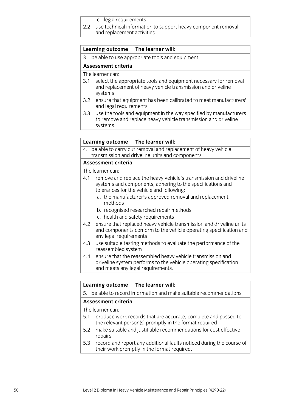c. legal requirements

2.2 use technical information to support heavy component removal and replacement activities.

### **Learning outcome The learner will:**

3. be able to use appropriate tools and equipment

### **Assessment criteria**

The learner can:

- 3.1 select the appropriate tools and equipment necessary for removal and replacement of heavy vehicle transmission and driveline systems
- 3.2 ensure that equipment has been calibrated to meet manufacturers' and legal requirements
- 3.3 use the tools and equipment in the way specified by manufacturers to remove and replace heavy vehicle transmission and driveline systems.

#### **Learning outcome The learner will:**

4. be able to carry out removal and replacement of heavy vehicle transmission and driveline units and components

### **Assessment criteria**

- 4.1 remove and replace the heavy vehicle's transmission and driveline systems and components, adhering to the specifications and tolerances for the vehicle and following:
	- a. the manufacturer's approved removal and replacement methods
	- b. recognised researched repair methods
	- c. health and safety requirements
- 4.2 ensure that replaced heavy vehicle transmission and driveline units and components conform to the vehicle operating specification and any legal requirements
- 4.3 use suitable testing methods to evaluate the performance of the reassembled system
- 4.4 ensure that the reassembled heavy vehicle transmission and driveline system performs to the vehicle operating specification and meets any legal requirements.

|                            | <b>Learning outcome</b>                                                                                                  | The learner will:                                                                                                   |
|----------------------------|--------------------------------------------------------------------------------------------------------------------------|---------------------------------------------------------------------------------------------------------------------|
|                            | 5. be able to record information and make suitable recommendations                                                       |                                                                                                                     |
| <b>Assessment criteria</b> |                                                                                                                          |                                                                                                                     |
| The learner can:           |                                                                                                                          |                                                                                                                     |
| 5.1                        | produce work records that are accurate, complete and passed to<br>the relevant person(s) promptly in the format required |                                                                                                                     |
| 5.2                        | repairs                                                                                                                  | make suitable and justifiable recommendations for cost effective                                                    |
| 5.3                        |                                                                                                                          | record and report any additional faults noticed during the course of<br>their work promptly in the format required. |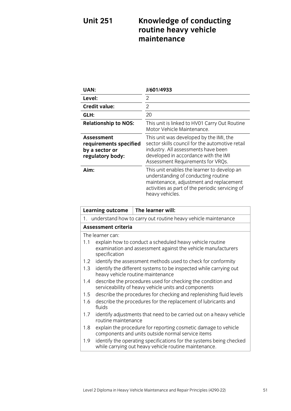# **Unit 251 Knowledge of conducting routine heavy vehicle maintenance**

| <b>UAN:</b>                                                                | J/601/4933                                                                                                                                                                                                     |
|----------------------------------------------------------------------------|----------------------------------------------------------------------------------------------------------------------------------------------------------------------------------------------------------------|
| Level:                                                                     | $\mathcal{P}$                                                                                                                                                                                                  |
| <b>Credit value:</b>                                                       | 2                                                                                                                                                                                                              |
| GLH:                                                                       | 20                                                                                                                                                                                                             |
| <b>Relationship to NOS:</b>                                                | This unit is linked to HV01 Carry Out Routine<br>Motor Vehicle Maintenance.                                                                                                                                    |
| Assessment<br>requirements specified<br>by a sector or<br>regulatory body: | This unit was developed by the IMI, the<br>sector skills council for the automotive retail<br>industry. All assessments have been<br>developed in accordance with the IMI<br>Assessment Requirements for VRQs. |
| Aim:                                                                       | This unit enables the learner to develop an<br>understanding of conducting routine<br>maintenance, adjustment and replacement<br>activities as part of the periodic servicing of<br>heavy vehicles.            |

|     | <b>Learning outcome</b>                                                                                             | The learner will:                                                                                                            |  |
|-----|---------------------------------------------------------------------------------------------------------------------|------------------------------------------------------------------------------------------------------------------------------|--|
|     |                                                                                                                     | 1. understand how to carry out routine heavy vehicle maintenance                                                             |  |
|     | <b>Assessment criteria</b>                                                                                          |                                                                                                                              |  |
|     | The learner can:                                                                                                    |                                                                                                                              |  |
| 1.1 | specification                                                                                                       | explain how to conduct a scheduled heavy vehicle routine<br>examination and assessment against the vehicle manufacturers     |  |
| 1.2 |                                                                                                                     | identify the assessment methods used to check for conformity                                                                 |  |
| 1.3 |                                                                                                                     | identify the different systems to be inspected while carrying out<br>heavy vehicle routine maintenance                       |  |
| 1.4 | describe the procedures used for checking the condition and<br>serviceability of heavy vehicle units and components |                                                                                                                              |  |
| 1.5 | describe the procedures for checking and replenishing fluid levels                                                  |                                                                                                                              |  |
| 1.6 | fluids                                                                                                              | describe the procedures for the replacement of lubricants and                                                                |  |
| 1.7 | routine maintenance                                                                                                 | identify adjustments that need to be carried out on a heavy vehicle                                                          |  |
| 1.8 |                                                                                                                     | explain the procedure for reporting cosmetic damage to vehicle<br>components and units outside normal service items          |  |
| 1.9 |                                                                                                                     | identify the operating specifications for the systems being checked<br>while carrying out heavy vehicle routine maintenance. |  |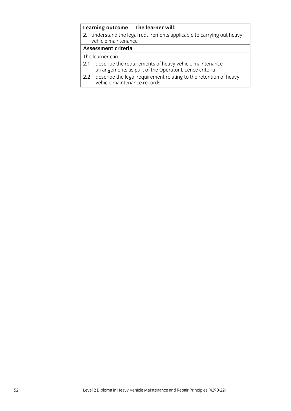|                  |                              | Learning outcome $\vert$ The learner will:                                                                      |  |
|------------------|------------------------------|-----------------------------------------------------------------------------------------------------------------|--|
|                  | vehicle maintenance          | 2. understand the legal requirements applicable to carrying out heavy                                           |  |
|                  | <b>Assessment criteria</b>   |                                                                                                                 |  |
| The learner can: |                              |                                                                                                                 |  |
| 2.1              |                              | describe the requirements of heavy vehicle maintenance<br>arrangements as part of the Operator Licence criteria |  |
|                  | vehicle maintenance records. | 2.2 describe the legal requirement relating to the retention of heavy                                           |  |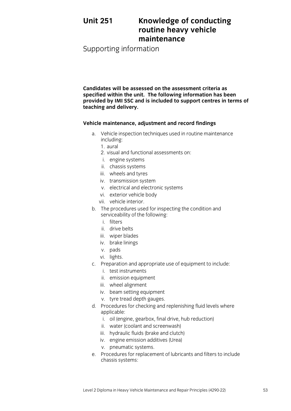# **Unit 251 Knowledge of conducting routine heavy vehicle maintenance**

Supporting information

**Candidates will be assessed on the assessment criteria as specified within the unit. The following information has been provided by IMI SSC and is included to support centres in terms of teaching and delivery.**

# **Vehicle maintenance, adjustment and record findings**

- a. Vehicle inspection techniques used in routine maintenance including:
	- 1. aural
	- 2. visual and functional assessments on:
	- i. engine systems
	- ii. chassis systems
	- iii. wheels and tyres
	- iv. transmission system
	- v. electrical and electronic systems
	- vi. exterior vehicle body
	- vii. vehicle interior.
- b. The procedures used for inspecting the condition and serviceability of the following:
	- i. filters
	- ii. drive belts
	- iii. wiper blades
	- iv. brake linings
	- v. pads
	- vi. lights.
- c. Preparation and appropriate use of equipment to include:
	- i. test instruments
	- ii. emission equipment
	- iii. wheel alignment
	- iv. beam setting equipment
	- v. tyre tread depth gauges.
- d. Procedures for checking and replenishing fluid levels where applicable:
	- i. oil (engine, gearbox, final drive, hub reduction)
	- ii. water (coolant and screenwash)
	- iii. hydraulic fluids (brake and clutch)
	- iv. engine emission additives (Urea)
	- v. pneumatic systems.
- e. Procedures for replacement of lubricants and filters to include chassis systems: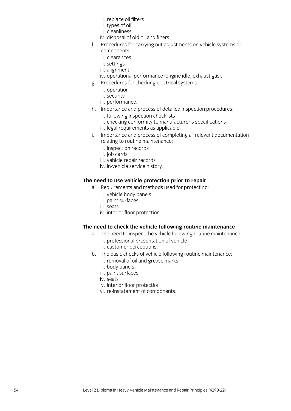- i. replace oil filters
- ii. types of oil
- iii. cleanliness
- iv. disposal of old oil and filters.
- f. Procedures for carrying out adjustments on vehicle systems or components:
	- i. clearances
	- ii. settings
	- iii. alignment
	- iv. operational performance (engine idle, exhaust gas).
- g. Procedures for checking electrical systems:
	- i. operation
	- ii. security
	- iii. performance.
- h. Importance and process of detailed inspection procedures:
	- i. following inspection checklists
	- ii. checking conformity to manufacturer's specifications
	- iii. legal requirements as applicable.
- i. Importance and process of completing all relevant documentation relating to routine maintenance:
	- i. inspection records
	- ii. job cards
	- iii. vehicle repair records
	- iv. in-vehicle service history.

# **The need to use vehicle protection prior to repair**

- a. Requirements and methods used for protecting:
	- i. vehicle body panels
	- ii. paint surfaces
	- iii. seats
	- iv. interior floor protection.

# **The need to check the vehicle following routine maintenance**

- a. The need to inspect the vehicle following routine maintenance:
	- i. professional presentation of vehicle
	- ii. customer perceptions.
- b. The basic checks of vehicle following routine maintenance:
	- i. removal of oil and grease marks
	- ii. body panels
	- iii. paint surfaces
	- iv. seats
	- v. interior floor protection
	- vi. re-instatement of components.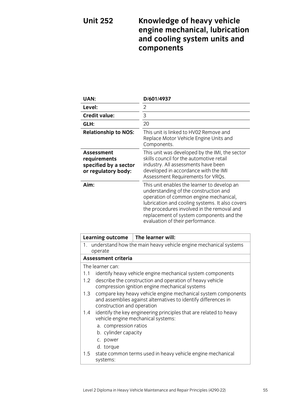# **Unit 252 Knowledge of heavy vehicle engine mechanical, lubrication and cooling system units and components**

| UAN:                                                                       | D/601/4937                                                                                                                                                                                                                                                                                                      |
|----------------------------------------------------------------------------|-----------------------------------------------------------------------------------------------------------------------------------------------------------------------------------------------------------------------------------------------------------------------------------------------------------------|
| Level:                                                                     | 2                                                                                                                                                                                                                                                                                                               |
| <b>Credit value:</b>                                                       | 3                                                                                                                                                                                                                                                                                                               |
| GLH:                                                                       | 20                                                                                                                                                                                                                                                                                                              |
| <b>Relationship to NOS:</b>                                                | This unit is linked to HV02 Remove and<br>Replace Motor Vehicle Engine Units and<br>Components.                                                                                                                                                                                                                 |
| Assessment<br>requirements<br>specified by a sector<br>or regulatory body: | This unit was developed by the IMI, the sector<br>skills council for the automotive retail<br>industry. All assessments have been<br>developed in accordance with the IMI<br>Assessment Requirements for VRQs.                                                                                                  |
| Aim:                                                                       | This unit enables the learner to develop an<br>understanding of the construction and<br>operation of common engine mechanical,<br>lubrication and cooling systems. It also covers<br>the procedures involved in the removal and<br>replacement of system components and the<br>evaluation of their performance. |

|     |                                                                                                                                                               | Learning outcome $\parallel$ The learner will:                                                          |  |
|-----|---------------------------------------------------------------------------------------------------------------------------------------------------------------|---------------------------------------------------------------------------------------------------------|--|
|     | operate                                                                                                                                                       | 1. understand how the main heavy vehicle engine mechanical systems                                      |  |
|     | <b>Assessment criteria</b>                                                                                                                                    |                                                                                                         |  |
|     | The learner can:                                                                                                                                              |                                                                                                         |  |
| 1.1 | identify heavy vehicle engine mechanical system components                                                                                                    |                                                                                                         |  |
| 1.2 | describe the construction and operation of heavy vehicle<br>compression ignition engine mechanical systems                                                    |                                                                                                         |  |
| 1.3 | compare key heavy vehicle engine mechanical system components<br>and assemblies against alternatives to identify differences in<br>construction and operation |                                                                                                         |  |
| 1.4 |                                                                                                                                                               | identify the key engineering principles that are related to heavy<br>vehicle engine mechanical systems: |  |
|     | a. compression ratios                                                                                                                                         |                                                                                                         |  |
|     | b. cylinder capacity                                                                                                                                          |                                                                                                         |  |
|     | c. power                                                                                                                                                      |                                                                                                         |  |
|     | d. torque                                                                                                                                                     |                                                                                                         |  |
| 1.5 | systems:                                                                                                                                                      | state common terms used in heavy vehicle engine mechanical                                              |  |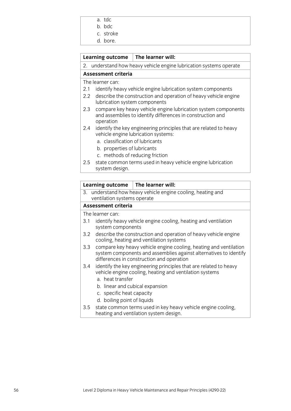- a. tdc
- b. bdc
- c. stroke
- d. bore.

# **Learning outcome The learner will:**

2. understand how heavy vehicle engine lubrication systems operate

# **Assessment criteria**

The learner can:

- 2.1 identify heavy vehicle engine lubrication system components
- 2.2 describe the construction and operation of heavy vehicle engine lubrication system components
- 2.3 compare key heavy vehicle engine lubrication system components and assemblies to identify differences in construction and operation
- 2.4 identify the key engineering principles that are related to heavy vehicle engine lubrication systems:
	- a. classification of lubricants
	- b. properties of lubricants
	- c. methods of reducing friction
- 2.5 state common terms used in heavy vehicle engine lubrication system design.

## **Learning outcome The learner will:**

3. understand how heavy vehicle engine cooling, heating and ventilation systems operate

# **Assessment criteria**

- 3.1 identify heavy vehicle engine cooling, heating and ventilation system components
- 3.2 describe the construction and operation of heavy vehicle engine cooling, heating and ventilation systems
- 3.3 compare key heavy vehicle engine cooling, heating and ventilation system components and assemblies against alternatives to identify differences in construction and operation
- 3.4 identify the key engineering principles that are related to heavy vehicle engine cooling, heating and ventilation systems
	- a. heat transfer
	- b. linear and cubical expansion
	- c. specific heat capacity
	- d. boiling point of liquids
- 3.5 state common terms used in key heavy vehicle engine cooling, heating and ventilation system design.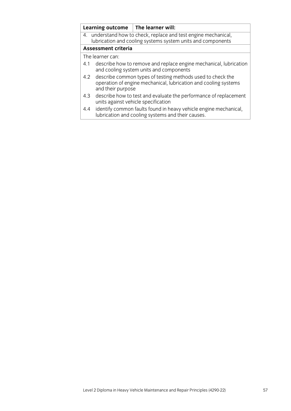|     |                                                                                                                                                    | Learning outcome $\parallel$ The learner will:                                                                        |  |
|-----|----------------------------------------------------------------------------------------------------------------------------------------------------|-----------------------------------------------------------------------------------------------------------------------|--|
|     | 4. understand how to check, replace and test engine mechanical,<br>lubrication and cooling systems system units and components                     |                                                                                                                       |  |
|     | <b>Assessment criteria</b>                                                                                                                         |                                                                                                                       |  |
|     | The learner can:                                                                                                                                   |                                                                                                                       |  |
| 4.1 | describe how to remove and replace engine mechanical, lubrication<br>and cooling system units and components                                       |                                                                                                                       |  |
| 4.2 | describe common types of testing methods used to check the<br>operation of engine mechanical, lubrication and cooling systems<br>and their purpose |                                                                                                                       |  |
| 4.3 |                                                                                                                                                    | describe how to test and evaluate the performance of replacement<br>units against vehicle specification               |  |
| 4.4 |                                                                                                                                                    | identify common faults found in heavy vehicle engine mechanical,<br>lubrication and cooling systems and their causes. |  |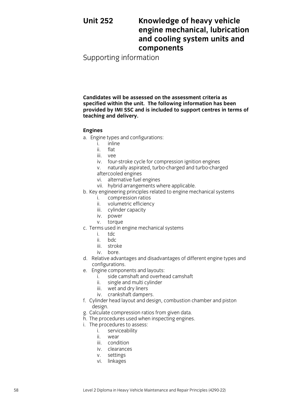# **Unit 252 Knowledge of heavy vehicle engine mechanical, lubrication and cooling system units and components**

Supporting information

**Candidates will be assessed on the assessment criteria as specified within the unit. The following information has been provided by IMI SSC and is included to support centres in terms of teaching and delivery.**

### **Engines**

- a. Engine types and configurations:
	- i. inline
	- ii. flat
	- iii. vee
	- iv. four-stroke cycle for compression ignition engines
	- v. naturally aspirated, turbo-charged and turbo-charged aftercooled engines
	- vi. alternative fuel engines
	- vii. hybrid arrangements where applicable.
- b. Key engineering principles related to engine mechanical systems
	- i. compression ratios
	- ii. volumetric efficiency
	- iii. cylinder capacity
	- iv. power
	- v. torque
- c. Terms used in engine mechanical systems
	- i. tdc
	- ii. bdc
	- iii. stroke
	- iv. bore.
- d. Relative advantages and disadvantages of different engine types and configurations.
- e. Engine components and layouts:
	- i. side camshaft and overhead camshaft
	- ii. single and multi cylinder
	- iii. wet and dry liners
	- iv. crankshaft dampers.
- f. Cylinder head layout and design, combustion chamber and piston design.
- g. Calculate compression ratios from given data.
- h. The procedures used when inspecting engines.
- i. The procedures to assess:
	- i. serviceability
	- ii. wear
	- iii. condition
	- iv. clearances
	- v. settings
	- vi. linkages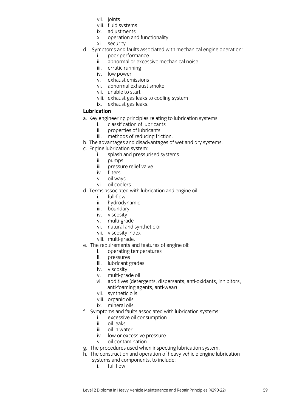- vii. joints
- viii. fluid systems
- ix. adjustments
- x. operation and functionality
- xi. security.
- d. Symptoms and faults associated with mechanical engine operation:
	- i. poor performance
	- ii. abnormal or excessive mechanical noise
	- iii. erratic running
	- iv. low power
	- v. exhaust emissions
	- vi. abnormal exhaust smoke
	- vii. unable to start
	- viii. exhaust gas leaks to cooling system
	- ix. exhaust gas leaks.

# **Lubrication**

- a. Key engineering principles relating to lubrication systems<br>i. classification of lubricants
	- classification of lubricants
	- ii. properties of lubricants
	- iii. methods of reducing friction.
- b. The advantages and disadvantages of wet and dry systems.
- c. Engine lubrication system:
	- i. splash and pressurised systems
	- ii. pumps
	- iii. pressure relief valve
	- iv. filters
	- v. oil ways
	- vi. oil coolers.
- d. Terms associated with lubrication and engine oil:
	- i. full-flow
	- ii. hydrodynamic
	- iii. boundary
	- iv. viscosity
	- v. multi-grade
	- vi. natural and synthetic oil
	- vii. viscosity index
	- viii. multi-grade.
- e. The requirements and features of engine oil:
	- i. operating temperatures<br>ii. pressures
	- pressures
	- iii. pressares
	- iv. viscosity
	- v. multi-grade oil
	- vi. additives (detergents, dispersants, anti-oxidants, inhibitors, anti-foaming agents, anti-wear)
	- vii. synthetic oils
	- viii. organic oils
	- ix. mineral oils.
- f. Symptoms and faults associated with lubrication systems:
	- i. excessive oil consumption
	- ii. oil leaks
	- iii. oil in water
	- iv. low or excessive pressure
	- v. oil contamination.
- g. The procedures used when inspecting lubrication system.
- h. The construction and operation of heavy vehicle engine lubrication
	- systems and components, to include:
		- i. full flow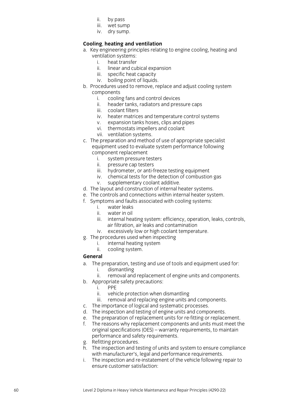- ii. by pass
- iii. wet sump
- iv. dry sump .

# **Cooling**, **heating and ventilation**

- a. Key engineering principles relating to engine cooling, heating and
	- ventilation systems :
		- i. heat transfer<br>ii. linear and cul linear and cubical expansion
		- iii. specific heat capacity
		- iv. boiling point of liquids .
- b. Procedures used to remove, replace and adjust cooling system
	- components<br>i. coolin i. cooling fans and control devices<br>ii. header tanks. radiators and pres.
		- header tanks, radiators and pressure caps
		- iii. coolant filters
		- iv. heater matrices and temperature control systems
		- v. expansion tanks hoses, clips and pipes
		- vi. thermostats impellers and coolant
		- vii. ventilation systems .
- c. The preparation and method of use of appropriate specialist equipment used to evaluate system performance following component replacement
	- i. system pressure testers
	- ii. pressure cap testers
	- iii. hydrometer, or anti -freeze testing equipment
	- iv. chemical tests for the detection of combustion gas
	- v. supplementary coolant additive .
- d. The layout and construction of internal heater systems.
- e. The controls and connections within internal heater system.
- f. Symptoms and faults associated with cooling systems:
	- i. water leaks
	- water in oil
	- iii. internal heating system: efficiency, operation, leaks, controls, air filtration, air leaks and contamination
	- iv. excessively low or high coolant temperature .
- g. The procedures used when inspecting
	- i. internal heating system<br>ii. cooling system.
	- ii. cooling system .

## **General**

- a. The preparation, testing and use of tools and equipment used for:
	- i. dismantling
	- ii. removal and replacement of engine units and components .
- b. Appropriate safety precautions:
	- i. PPE
	- ii. vehicle protection when dismantling
	- iii. removal and replacing engine units and components .
- c. The importance of logical and systematic processes.
- d. The inspection and testing of engine units and components.
- e. The preparation of replacement units for re-fitting or replacement.
- f. The reasons why replacement components and units must meet the original specifications (OES) – warranty requirements, to maintain performance and safety requirements.
- g. Refitting procedures.
- h. The inspection and testing of units and system to ensure compliance with manufacturer's, legal and performance requirements.
- i. The inspection and re -instatement of the vehicle following repair to ensure customer satisfaction: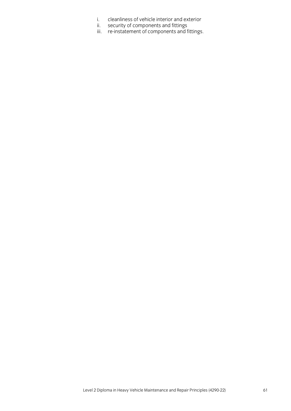- i. cleanliness of vehicle interior and exterior
- ii. security of components and fittings
- iii. re-instatement of components and fittings.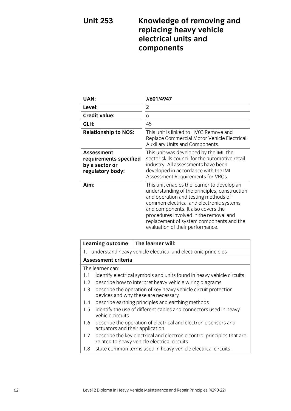# **Unit 253 Knowledge of removing and replacing heavy vehicle electrical units and components**

| UAN:                                                                              | J/601/4947                                                                                                                                                                                                                                                                                                                                       |
|-----------------------------------------------------------------------------------|--------------------------------------------------------------------------------------------------------------------------------------------------------------------------------------------------------------------------------------------------------------------------------------------------------------------------------------------------|
| Level:                                                                            | $\overline{2}$                                                                                                                                                                                                                                                                                                                                   |
| <b>Credit value:</b>                                                              | 6                                                                                                                                                                                                                                                                                                                                                |
| GLH:                                                                              | 45                                                                                                                                                                                                                                                                                                                                               |
| <b>Relationship to NOS:</b>                                                       | This unit is linked to HV03 Remove and<br>Replace Commercial Motor Vehicle Electrical<br>Auxiliary Units and Components.                                                                                                                                                                                                                         |
| <b>Assessment</b><br>requirements specified<br>by a sector or<br>regulatory body: | This unit was developed by the IMI, the<br>sector skills council for the automotive retail<br>industry. All assessments have been<br>developed in accordance with the IMI<br>Assessment Requirements for VRQs.                                                                                                                                   |
| Aim:                                                                              | This unit enables the learner to develop an<br>understanding of the principles, construction<br>and operation and testing methods of<br>common electrical and electronic systems<br>and components. It also covers the<br>procedures involved in the removal and<br>replacement of system components and the<br>evaluation of their performance. |

| <b>Learning outcome</b>                                                      |                                                                                                       | The learner will:                                                                                                      |  |  |
|------------------------------------------------------------------------------|-------------------------------------------------------------------------------------------------------|------------------------------------------------------------------------------------------------------------------------|--|--|
|                                                                              | 1. understand heavy vehicle electrical and electronic principles                                      |                                                                                                                        |  |  |
|                                                                              | <b>Assessment criteria</b>                                                                            |                                                                                                                        |  |  |
|                                                                              | The learner can:                                                                                      |                                                                                                                        |  |  |
| identify electrical symbols and units found in heavy vehicle circuits<br>1.1 |                                                                                                       |                                                                                                                        |  |  |
| $1.2\,$                                                                      | describe how to interpret heavy vehicle wiring diagrams                                               |                                                                                                                        |  |  |
| 1.3                                                                          | describe the operation of key heavy vehicle circuit protection<br>devices and why these are necessary |                                                                                                                        |  |  |
| $1.4^{\circ}$                                                                | describe earthing principles and earthing methods                                                     |                                                                                                                        |  |  |
| 1.5                                                                          | identify the use of different cables and connectors used in heavy<br>vehicle circuits                 |                                                                                                                        |  |  |
| 1.6                                                                          | describe the operation of electrical and electronic sensors and<br>actuators and their application    |                                                                                                                        |  |  |
| 1.7                                                                          |                                                                                                       | describe the key electrical and electronic control principles that are<br>related to heavy vehicle electrical circuits |  |  |
| 1.8                                                                          | state common terms used in heavy vehicle electrical circuits.                                         |                                                                                                                        |  |  |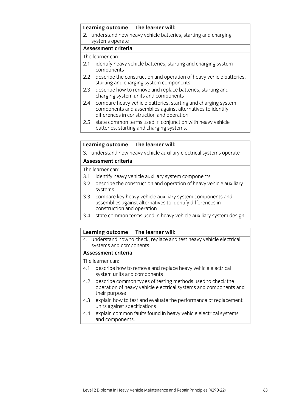| Learning outcome |                                                                                                                                                                          | $\parallel$ The learner will:                                                                          |  |
|------------------|--------------------------------------------------------------------------------------------------------------------------------------------------------------------------|--------------------------------------------------------------------------------------------------------|--|
|                  | 2. understand how heavy vehicle batteries, starting and charging                                                                                                         |                                                                                                        |  |
|                  | systems operate                                                                                                                                                          |                                                                                                        |  |
|                  | Assessment criteria                                                                                                                                                      |                                                                                                        |  |
|                  | The learner can:                                                                                                                                                         |                                                                                                        |  |
| 2.1              | identify heavy vehicle batteries, starting and charging system<br>components                                                                                             |                                                                                                        |  |
|                  | 2.2 describe the construction and operation of heavy vehicle batteries,<br>starting and charging system components                                                       |                                                                                                        |  |
| 2.3              | describe how to remove and replace batteries, starting and<br>charging system units and components                                                                       |                                                                                                        |  |
| 2.4              | compare heavy vehicle batteries, starting and charging system<br>components and assemblies against alternatives to identify<br>differences in construction and operation |                                                                                                        |  |
| 2.5              |                                                                                                                                                                          | state common terms used in conjunction with heavy vehicle<br>batteries, starting and charging systems. |  |
|                  |                                                                                                                                                                          |                                                                                                        |  |

3. understand how heavy vehicle auxiliary electrical systems operate

## **Assessment criteria**

The learner can:

- 3.1 identify heavy vehicle auxiliary system components
- 3.2 describe the construction and operation of heavy vehicle auxiliary systems
- 3.3 compare key heavy vehicle auxiliary system components and assemblies against alternatives to identify differences in construction and operation
- 3.4 state common terms used in heavy vehicle auxiliary system design.

### **Learning outcome The learner will:**

4. understand how to check, replace and test heavy vehicle electrical systems and components

### **Assessment criteria**

- 4.1 describe how to remove and replace heavy vehicle electrical system units and components
- 4.2 describe common types of testing methods used to check the operation of heavy vehicle electrical systems and components and their purpose
- 4.3 explain how to test and evaluate the performance of replacement units against specifications
- 4.4 explain common faults found in heavy vehicle electrical systems and components.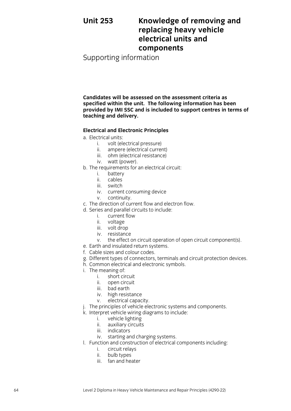# **Unit 253 Knowledge of removing and replacing heavy vehicle electrical units and components**

Supporting information

**Candidates will be assessed on the assessment criteria as specified within the unit. The following information has been provided by IMI SSC and is included to support centres in terms of teaching and delivery.**

## **Electrical and Electronic Principles**

- a. Electrical units:
	- i. volt (electrical pressure)
	- ii. ampere (electrical current)
	- iii. ohm (electrical resistance)
	- iv. watt (power).
- b. The requirements for an electrical circuit:
	- i. battery
	- ii. cables
	- iii. switch
	- iv. current consuming device
	- v. continuity.
- c. The direction of current flow and electron flow.
- d. Series and parallel circuits to include:
	- i. current flow
	- ii. voltage
	- iii. volt drop
	- iv. resistance
	- v. the effect on circuit operation of open circuit component(s).
- e. Earth and insulated return systems.
- f. Cable sizes and colour codes.
- g. Different types of connectors, terminals and circuit protection devices.
- h. Common electrical and electronic symbols.
- i. The meaning of:
	- i. short circuit
	- ii. open circuit
	- iii. bad earth
	- iv. high resistance
	- v. electrical capacity.
- j. The principles of vehicle electronic systems and components.
- k. Interpret vehicle wiring diagrams to include:
	- i. vehicle lighting
	- ii. auxiliary circuits
	- iii. indicators
	- iv. starting and charging systems.
- l. Function and construction of electrical components including:
	- i. circuit relays
	- ii. bulb types
	- iii. fan and heater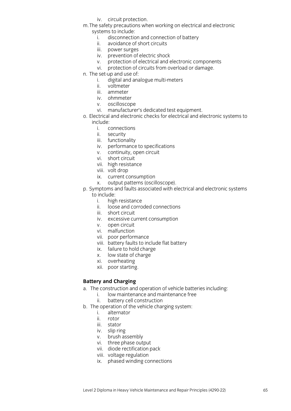- iv. circuit protection.
- m.The safety precautions when working on electrical and electronic systems to include:<br>i. disconnectic
	- disconnection and connection of battery
	- ii. avoidance of short circuits
	- iii. power surges
	- iv. prevention of electric shock
	- v. protection of electrical and electronic components
	- vi. protection of circuits from overload or damage.
- n. The set-up and use of:
	- i. digital and analogue multi-meters
	- ii. voltmeter
	- iii. ammeter
	- iv. ohmmeter
	- v. oscilloscope
	- vi. manufacturer's dedicated test equipment.
- o. Electrical and electronic checks for electrical and electronic systems to include:
	- i. connections<br>ii. security
	- security
	- iii. functionality
	- iv. performance to specifications
	- v. continuity, open circuit
	- vi. short circuit
	- vii. Short external
	- viii. volt drop
	- ix. current consumption
	- x. output patterns (oscilloscope).
- p. Symptoms and faults associated with electrical and electronic systems to include:
	- i. high resistance
	- ii. loose and corroded connections
	- iii. short circuit
	- iv. excessive current consumption
	- v. open circuit
	- vi. malfunction
	- vii. poor performance
	- viii. battery faults to include flat battery
	- ix. failure to hold charge
	- x. low state of charge
	- xi. overheating
	- xii. poor starting.

## **Battery and Charging**

- a. The construction and operation of vehicle batteries including:
	- i. low maintenance and maintenance free
	- ii. battery cell construction
- b. The operation of the vehicle charging system:
	- i. alternator
	- ii. rotor
	- iii. stator
	- iv. slip ring
	- v. brush assembly
	- vi. three phase output
	- vii. diode rectification pack
	- viii. voltage regulation
	- ix. phased winding connections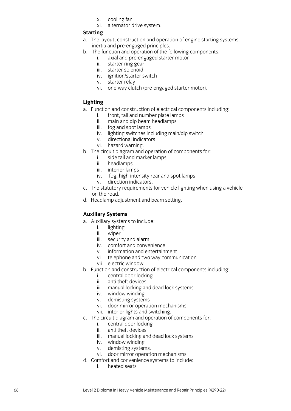x. cooling fan

xi. alternator drive system .

### **Starting**

- a. The layout, construction and operation of engine starting systems: inertia and pre -engaged principles.
- b. The function and operation of the following components:
	- i. axial and pre -engaged starter motor
	- ii. starter ring gear
	- iii. starter solenoid
	- iv. ignition/starter switch
	- v. starter relay
	- vi. one-way clutch (pre-engaged starter motor).

## **Lighting**

- a. Function and construction of electrical components including:
	- i. front, tail and number plate lamps
	- ii. main and dip beam headlamps
	- iii. fog and spot lamps
	- iv. lighting switches including main/dip switch
	- v. directional indicators
	- vi. hazard warning .
- b. The circuit diagram and operation of components for:
	- i. side tail and marker lamps
	- ii. headlamps
	- iii. interior lamps
	- iv. fog, high -intensity rear and spot lamp s
	- v. direction indicators .
- c. The statutory requirements for vehicle lighting when using a vehicle on the road.
- d. Headlamp adjustment and beam setting.

## **Auxiliary Systems**

- a. Auxiliary systems to include:
	- i. lighting<br>ii. wiper
	- wiper
	- iii. security and alarm
	- iv. comfort and convenience
	- v. information and entertainment
	- vi. telephone and two way communication
	- vii. electric window .
- b. Function and construction of electrical components including:
	- i. central door locking<br>ii. anti theft devices
	- anti theft devices
	- iii. manual locking and dead lock systems
	- iv. window winding
	- v. demisting systems
	- vi. door mirror operation mechanisms
	- vii. interior lights and switching .
- c. The circuit diagram and operation of components for:
	- i. central door locking
	- ii. anti theft devi ces
	- iii. manual locking and dead lock systems
	- iv. window winding
	- v. demisting systems .
	- vi. door mirror operation mechanisms
- d. Comfort and convenience systems to include:
	- i. heated seats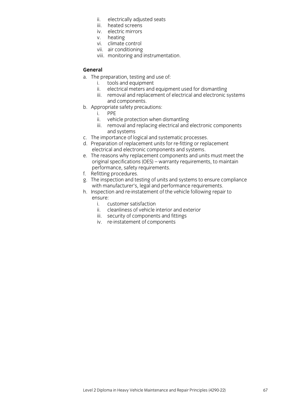- ii. electrically adjusted seats
- iii. heated screens
- iv. electric mirrors
- v. heating
- vi. climate control
- vii. air conditioning
- viii. monitoring and instrumentation.

# **General**

- a. The preparation, testing and use of:
	- i. tools and equipment<br>ii. electrical meters and
	- electrical meters and equipment used for dismantling
	- iii. removal and replacement of electrical and electronic systems and components.
- b. Appropriate safety precautions:
	- i. PPE
	- ii. vehicle protection when dismantling
	- iii. removal and replacing electrical and electronic components and systems
- c. The importance of logical and systematic processes.
- d. Preparation of replacement units for re-fitting or replacement electrical and electronic components and systems.
- e. The reasons why replacement components and units must meet the original specifications (OES) – warranty requirements, to maintain performance, safety requirements.
- f. Refitting procedures.
- g. The inspection and testing of units and systems to ensure compliance with manufacturer's, legal and performance requirements.
- h. Inspection and re-instatement of the vehicle following repair to ensure:
	- i. customer satisfaction
	- ii. cleanliness of vehicle interior and exterior
	- iii. security of components and fittings
	- iv. re-instatement of components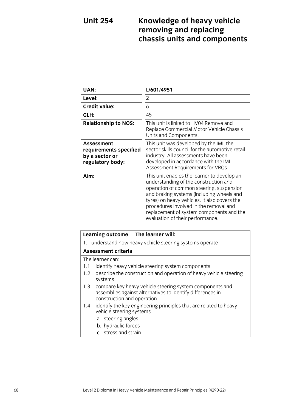# **Unit 254 Knowledge of heavy vehicle removing and replacing chassis units and components**

| UAN:                                                                              | L/601/4951                                                                                                                                                                                                                                                                                                                                              |
|-----------------------------------------------------------------------------------|---------------------------------------------------------------------------------------------------------------------------------------------------------------------------------------------------------------------------------------------------------------------------------------------------------------------------------------------------------|
| Level:                                                                            | 2                                                                                                                                                                                                                                                                                                                                                       |
| <b>Credit value:</b>                                                              | 6                                                                                                                                                                                                                                                                                                                                                       |
| GLH:                                                                              | 45                                                                                                                                                                                                                                                                                                                                                      |
| <b>Relationship to NOS:</b>                                                       | This unit is linked to HV04 Remove and<br>Replace Commercial Motor Vehicle Chassis<br>Units and Components.                                                                                                                                                                                                                                             |
| <b>Assessment</b><br>requirements specified<br>by a sector or<br>regulatory body: | This unit was developed by the IMI, the<br>sector skills council for the automotive retail<br>industry. All assessments have been<br>developed in accordance with the IMI<br>Assessment Requirements for VRQs.                                                                                                                                          |
| Aim:                                                                              | This unit enables the learner to develop an<br>understanding of the construction and<br>operation of common steering, suspension<br>and braking systems (including wheels and<br>tyres) on heavy vehicles. It also covers the<br>procedures involved in the removal and<br>replacement of system components and the<br>evaluation of their performance. |

|     | <b>Learning outcome</b>                                                                                                                              | The learner will:                                                 |  |  |
|-----|------------------------------------------------------------------------------------------------------------------------------------------------------|-------------------------------------------------------------------|--|--|
|     | 1. understand how heavy vehicle steering systems operate                                                                                             |                                                                   |  |  |
|     | <b>Assessment criteria</b>                                                                                                                           |                                                                   |  |  |
|     | The learner can:                                                                                                                                     |                                                                   |  |  |
| 1.1 | identify heavy vehicle steering system components                                                                                                    |                                                                   |  |  |
| 1.2 | systems                                                                                                                                              | describe the construction and operation of heavy vehicle steering |  |  |
| 1.3 | compare key heavy vehicle steering system components and<br>assemblies against alternatives to identify differences in<br>construction and operation |                                                                   |  |  |
| 1.4 | vehicle steering systems                                                                                                                             | identify the key engineering principles that are related to heavy |  |  |
|     | a. steering angles                                                                                                                                   |                                                                   |  |  |
|     | b. hydraulic forces                                                                                                                                  |                                                                   |  |  |
|     | c. stress and strain.                                                                                                                                |                                                                   |  |  |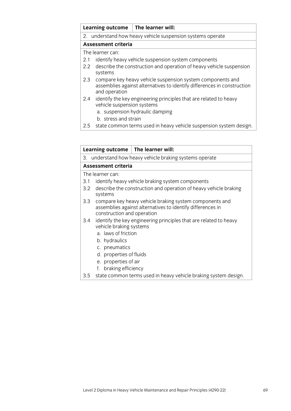| Learning outcome                                                                                                                                              | The learner will:                                                                                    |  |  |
|---------------------------------------------------------------------------------------------------------------------------------------------------------------|------------------------------------------------------------------------------------------------------|--|--|
| 2. understand how heavy vehicle suspension systems operate                                                                                                    |                                                                                                      |  |  |
| <b>Assessment criteria</b>                                                                                                                                    |                                                                                                      |  |  |
| The learner can:                                                                                                                                              |                                                                                                      |  |  |
| identify heavy vehicle suspension system components<br>2.1                                                                                                    |                                                                                                      |  |  |
| describe the construction and operation of heavy vehicle suspension<br>2.2<br>systems                                                                         |                                                                                                      |  |  |
| compare key heavy vehicle suspension system components and<br>2.3<br>assemblies against alternatives to identify differences in construction<br>and operation |                                                                                                      |  |  |
|                                                                                                                                                               | identify the key engineering principles that are related to heavy<br>a. suspension hydraulic damping |  |  |
|                                                                                                                                                               | vehicle suspension systems<br>المتلاط والمستحدث والمستحدث المارا                                     |  |  |

- b. stress and strain
- 2.5 state common terms used in heavy vehicle suspension system design.

|     |                                                                                                                                                     | Learning outcome $ $ The learner will:                          |  |  |
|-----|-----------------------------------------------------------------------------------------------------------------------------------------------------|-----------------------------------------------------------------|--|--|
|     | 3. understand how heavy vehicle braking systems operate                                                                                             |                                                                 |  |  |
|     | <b>Assessment criteria</b>                                                                                                                          |                                                                 |  |  |
|     | The learner can:                                                                                                                                    |                                                                 |  |  |
| 3.1 | identify heavy vehicle braking system components                                                                                                    |                                                                 |  |  |
| 3.2 | describe the construction and operation of heavy vehicle braking<br>systems                                                                         |                                                                 |  |  |
| 3.3 | compare key heavy vehicle braking system components and<br>assemblies against alternatives to identify differences in<br>construction and operation |                                                                 |  |  |
| 3.4 | identify the key engineering principles that are related to heavy<br>vehicle braking systems<br>a. laws of friction                                 |                                                                 |  |  |
|     | b. hydraulics<br>c. pneumatics                                                                                                                      |                                                                 |  |  |
|     | d. properties of fluids                                                                                                                             |                                                                 |  |  |
|     | e. properties of air                                                                                                                                |                                                                 |  |  |
|     | braking efficiency<br>f.                                                                                                                            |                                                                 |  |  |
| 3.5 |                                                                                                                                                     | state common terms used in heavy vehicle braking system design. |  |  |

3.5 state common terms used in heavy vehicle braking system design.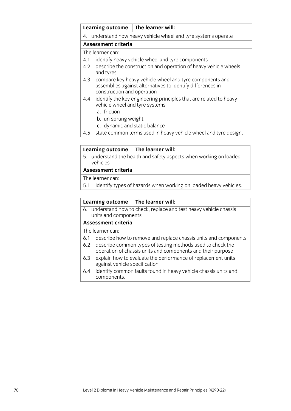|     | <b>Learning outcome</b>                                        | The learner will:                                                                                                     |  |
|-----|----------------------------------------------------------------|-----------------------------------------------------------------------------------------------------------------------|--|
|     | 4. understand how heavy vehicle wheel and tyre systems operate |                                                                                                                       |  |
|     | <b>Assessment criteria</b>                                     |                                                                                                                       |  |
|     | The learner can:                                               |                                                                                                                       |  |
| 4.1 | identify heavy vehicle wheel and tyre components               |                                                                                                                       |  |
| 4.2 | and tyres                                                      | describe the construction and operation of heavy vehicle wheels                                                       |  |
| 4.3 | construction and operation                                     | compare key heavy vehicle wheel and tyre components and<br>assemblies against alternatives to identify differences in |  |
| 4.4 | vehicle wheel and tyre systems<br>a. friction                  | identify the key engineering principles that are related to heavy                                                     |  |
|     | b. un-sprung weight                                            |                                                                                                                       |  |
|     | c. dynamic and static balance                                  |                                                                                                                       |  |
| 4.5 |                                                                | state common terms used in heavy vehicle wheel and tyre design.                                                       |  |

## **Learning outcome The learner will:**

5. understand the health and safety aspects when working on loaded vehicles

### **Assessment criteria**

- The learner can:
- 5.1 identify types of hazards when working on loaded heavy vehicles.

### **Learning outcome The learner will:**

6. understand how to check, replace and test heavy vehicle chassis units and components

# **Assessment criteria**

- 6.1 describe how to remove and replace chassis units and components
- 6.2 describe common types of testing methods used to check the operation of chassis units and components and their purpose
- 6.3 explain how to evaluate the performance of replacement units against vehicle specification
- 6.4 identify common faults found in heavy vehicle chassis units and components.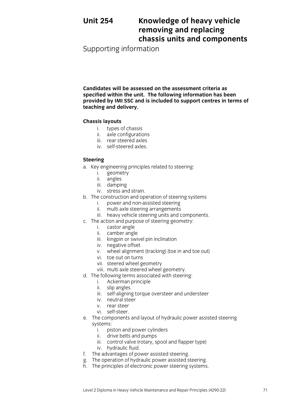# **Unit 254 Knowledge of heavy vehicle removing and replacing chassis units and components**

Supporting information

**Candidates will be assessed on the assessment criteria as specified within the unit. The following information has been provided by IMI SSC and is included to support centres in terms of teaching and delivery.**

# **Chassis layouts**

- i. types of chassis
- ii. axle configurations
- iii. rear steered axles
- iv. self-steered axles.

# **Steering**

- a. Key engineering principles related to steering:
	- i. geometry
	- ii. angles
	- iii. damping
	- iv. stress and strain.
- b. The construction and operation of steering systems
	- i. power and non-assisted steering
	- ii. multi axle steering arrangements
	- iii. heavy vehicle steering units and components.
- c. The action and purpose of steering geometry:
	- i. castor angle
	- ii. camber angle
	- iii. kingpin or swivel pin inclination
	- iv. negative offset
	- v. wheel alignment (tracking) (toe in and toe out)
	- vi. toe out on turns
	- vii. steered wheel geometry
	- viii. multi axle steered wheel geometry.
- d. The following terms associated with steering:
	- i. Ackerman principle
	- ii. slip angles
	- iii. self-aligning torque oversteer and understeer
	- iv. neutral steer
	- v. rear steer
	- vi. self-steer.
- e. The components and layout of hydraulic power assisted steering systems:
	- i. piston and power cylinders
	- ii. drive belts and pumps
	- iii. control valve (rotary, spool and flapper type)
	- iv. hydraulic fluid.
- f. The advantages of power assisted steering.
- g. The operation of hydraulic power assisted steering.
- h. The principles of electronic power steering systems.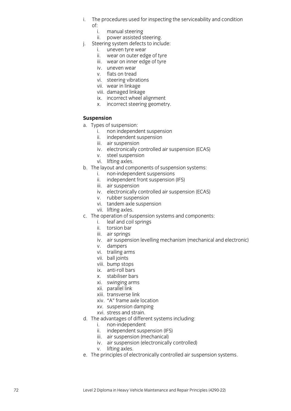- i. The procedures used for inspecting the serviceability and condition of:
	- i. manual steering
	- ii. power assisted steering .
- j. Steering system defects to include:
	- i. uneven tyre wear
	- ii. wear on outer edge of tyre
	- iii. wear on inner edge of tyre
	- iv. uneven wear
	- v. flats on tread
	- vi. steering vibrations
	- vii. wear in linkage
	- viii. damaged linkage
	- ix. incorrect wheel alignment
	- x. incorrect steering geometry .

### **Suspension**

- a. Types of suspension:
	- i. non independent suspension
	- ii. independent suspension
	- iii. air suspension
	- iv. electronically controlled air suspension (ECAS)
	- v. steel suspension
	- vi. lifting axles.
- b. The layout and components of suspension systems:
	- i. non -independent suspensions
	- ii. independent front suspension (IFS)
	- iii. air suspension
	- iv. electronically controlled air suspension (ECAS)
	- v. rubber suspension
	- vi. tandem axle suspension
	- vii. lifting axles .
- c. The operation of suspension systems and components:
	- i. leaf and coil springs
	- ii. torsion bar
	- iii. air springs
	- iv. air suspension levelling mechanism (mechanical and electronic)
	- v. dampers
	- vi. trailing arms
	- vii. ball joints
	- viii. bump stops
	- ix. anti -roll bars
	- x. stabiliser bars
	- xi. seasiissi sars
	- xii. parallel link
	- xiii. transverse link
	- xiv. "A" frame axle location
	- xv. suspension damping
	- xvi. stress and strain.
- d. The advantages of different systems including:
	- i. non -independent
	- ii. independent suspension (IFS)
	- iii. air suspension (mechanical)
	- iv. air suspension (electronically controlled)
	- v. lifting axles .
- e. The principles of electronically controlled air suspension systems.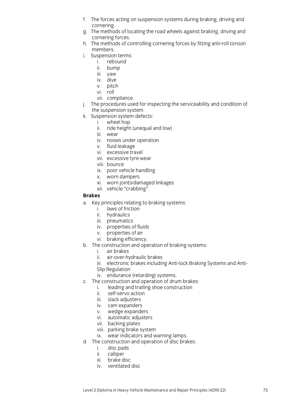- f. The forces acting on suspension systems during braking, driving and cornering.
- g. The methods of locating the road wheels against braking, driving and cornering forces.
- h. The methods of controlling cornering forces by fitting anti-roll torsion members.
- i. Suspension terms:
	- i. rebound
	- ii. bump
	- iii. yaw
	- iv. dive
	- v. pitch
	- vi. roll
	- vii. compliance.
- j. The procedures used for inspecting the serviceability and condition of the suspension system.
- k. Suspension system defects:
	- i. wheel hop
	- ii. ride height (unequal and low)
	- iii. wear
	- iv. noises under operation
	- v. fluid leakage
	- vi. excessive travel
	- vii. excessive tyre wear
	- viii. bounce
	- ix. poor vehicle handling
	- x. worn dampers
	- xi. worn joints/damaged linkages
	- xii. vehicle "crabbing".

#### **Brakes**

- a. Key principles relating to braking systems:
	- i. laws of friction
	- ii. hydraulics
	- iii. pneumatics
	- iv. properties of fluids
	- v. properties of air
	- vi. braking efficiency.
- b. The construction and operation of braking systems:
	- i. air brakes
	- ii. air-over-hydraulic brakes
	- iii. electronic brakes including Anti-lock Braking Systems and Anti-
	- Slip Regulation
	- iv. endurance (retarding) systems.
- c. The construction and operation of drum brakes:
	- i. leading and trailing shoe construction
		- ii. self-servo action
		- iii. slack adjusters
		- iv. cam expanders
		- v. wedge expanders
		- vi. automatic adjusters
		- vii. backing plates
		- viii. parking brake system
		- ix. wear indicators and warning lamps.
- d. The construction and operation of disc brakes:
	- i. disc pads
	- ii. calliper
	- iii. brake disc
	- iv. ventilated disc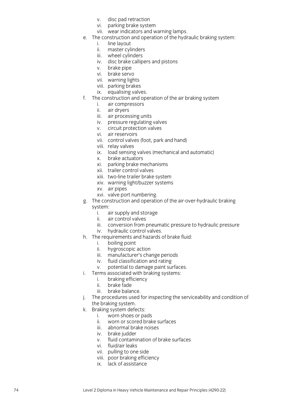- v. disc pad retraction
- vi. parking brake system
- vii. wear indicators and warning lamps .
- e. The construction and operation of the hydraulic braking system:
	- i. line layout
	- ii. master cylinders
	- iii. wheel cylinders
	- iv. disc brake cal lipers and pistons
	- v. brake pipe
	- vi. brake servo
	- vii. warning lights
	- viii. parking brakes
	- ix. equalising valves .
- f. The construction and operation of the air braking system
	- i. air compressors
	- ii. air dryers
	- iii. air processing units
	- iv. pressure regulating valves
	- v. circuit protection valves
	- vi. air reservoirs
	- vii. control valves (foot, park and hand)
	- viii. relay valves
	- ix. load sensing valves (mechanical and automatic)
	- x. brake actuators
	- xi. parking brake mechanisms
	- xii. trailer control valves
	- xiii. two -line trailer brake system
	- xiv. warning light/buzzer systems
	- xv. air pipes
	- xvi. valve port numbering .
- g. The construction and operation of the air -over -hydraulic braking system :
	- i. air supply and storage
	- ii. air control valves
	- iii. conversion from pneumatic pressure to hydraulic pressure
	- iv. hydraulic control valves .
- h. The requirements and hazards of brake fluid:
	- i. boiling point
	- ii. hygroscopic action
	- iii. manufacturer's change periods
	- iv. fluid classification and rating
	- v. potential to damage paint surfaces .
- i. Terms associated with braking systems:
	- i. braking efficiency
	- ii. brake fade
	- iii. brake balance .
- j. The procedures used for inspecting the serviceability and condition of the braking system .
- k. Braking system defects:
	- i. worn shoes or pads
	- ii. worn or scored brake surfaces
	- iii. abnormal brake noises
	- iv. brake judder
	- v. fluid contamination of brake surfaces
	- vi. fluid/air leaks
	- vii. pulling to one side
	- viii. poor braking efficiency
	- ix. lack of assistance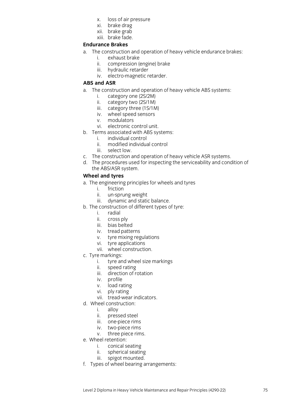- x. loss of air pressure
- xi. brake drag
- xii. brake grab
- xiii. brake fade.

#### **Endurance Brakes**

- a. The construction and operation of heavy vehicle endurance brakes:
	- i. exhaust brake<br>ii. compression (
	- compression (engine) brake
	- iii. hydraulic retarder
	- iv. electro-magnetic retarder.

#### **ABS and ASR**

- a. The construction and operation of heavy vehicle ABS systems:
	- i. category one (2S/2M)
	- ii. category two (2S/1M)
	- iii. category three (1S/1M)
	- iv. wheel speed sensors
	- v. modulators
	- vi. electronic control unit.
- b. Terms associated with ABS systems:
	- i. individual control
	- ii. modified individual control
	- iii. select low.
- c. The construction and operation of heavy vehicle ASR systems.
- d. The procedures used for inspecting the serviceability and condition of the ABS/ASR system.

## **Wheel and tyres**

- a. The engineering principles for wheels and tyres
	- i. friction
	- ii. un-sprung weight
	- iii. dynamic and static balance.
- b. The construction of different types of tyre:
	- i. radial
	- ii. cross ply
	- iii. bias belted
	- iv. tread patterns
	- v. tyre mixing regulations
	- vi. tyre applications
	- vii. wheel construction.
- c. Tyre markings:
	- i. tyre and wheel size markings
	- ii. speed rating
	- iii. direction of rotation
	- iv. profile
	- v. load rating
	- vi. ply rating
	- vii. tread-wear indicators.
- d. Wheel construction:
	- i. alloy
	- ii. pressed steel
	- iii. one-piece rims
	- iv. two-piece rims
	- v. three piece rims.
- e. Wheel retention:
	- i. conical seating
	- ii. spherical seating
	- iii. spigot mounted.
- f. Types of wheel bearing arrangements: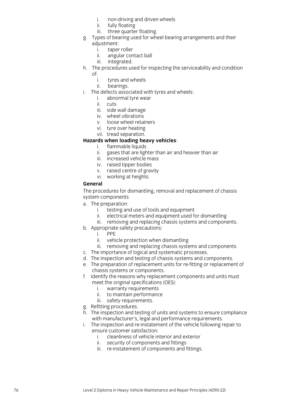- i. non -driving and driven wheels
- ii. fully floating
- iii. three quarter floating .
- g. Types of bearing used for wheel bearing arrangements and their adjustment:
	-
	- i. taper roller<br>ii. angular con ii. angular contact bal l
	- iii. integrated .
- h. The procedures used for inspecting the serviceability and condition
	- of:
		- i. tyres and wheels
		- ii. bearings .
- i. The defects associated with tyres and wheels:
	- i. abnormal tyre wear
	- ii. cuts
	- iii. side wall damage
	- iv. wheel vibrations
	- v. loose wheel retainers
	- vi. tyre over heatin g
	- vii. tread separation.

#### **Hazards when loading heavy vehicles** :

- i. flammable liquids
- ii. gases that are lighter than air and heavier than air
- iii. increased vehicle mass
- iv. raised tipper bodies
- v. raised centre of gravity
- vi. working at heights .

#### **General**

The procedures for dismantling, removal and replacement of chassis system components

- a. The preparation:
	- i. testing and use of tools and equipment
	- ii. electrical meters and equipment used for dismantling
	- iii. removing and replacing chassis systems and components .
- b. Appropriate safety precautions:
	- i. PPE
	- ii. vehicle protection when dismantling
	- iii. removing and replacing chassis systems and components .
- c. The importance of logical and systematic processes.
- d. The inspection and testing of chassis systems and components.
- e. The preparation of replacement units for re -fitting or replacement of chassis systems or components.
- f. Identify the reasons why replacement components and units must meet the original specifications (OES):
	- i. warranty requirements
	- ii. to maintain performance
	- iii. safety requirements .
- g. Refitting procedures.
- h. The inspection and testing of units and systems to ensure compliance with manufacturer's, legal and performance requirements.
- i. The inspection and re -instatement of the vehicle following repair to ensure customer satisfaction:
	- i. cleanliness of vehicle interior and exterior
	- ii. security of components and fittings
	- iii. re-instatement of components and fittings.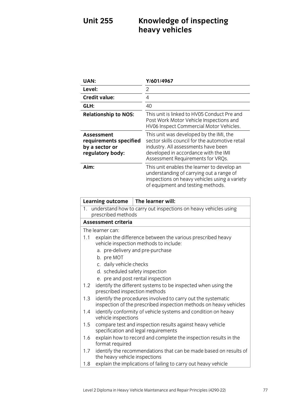# **Unit 255 Knowledge of inspecting heavy vehicles**

| UAN:                                                                              | Y/601/4967                                                                                                                                                                                                     |
|-----------------------------------------------------------------------------------|----------------------------------------------------------------------------------------------------------------------------------------------------------------------------------------------------------------|
| Level:                                                                            | 2                                                                                                                                                                                                              |
| <b>Credit value:</b>                                                              | 4                                                                                                                                                                                                              |
| GLH:                                                                              | 40                                                                                                                                                                                                             |
| <b>Relationship to NOS:</b>                                                       | This unit is linked to HV05 Conduct Pre and<br>Post Work Motor Vehicle Inspections and<br>HV06 Inspect Commercial Motor Vehicles.                                                                              |
| <b>Assessment</b><br>requirements specified<br>by a sector or<br>regulatory body: | This unit was developed by the IMI, the<br>sector skills council for the automotive retail<br>industry. All assessments have been<br>developed in accordance with the IMI<br>Assessment Requirements for VRQs. |
| Aim:                                                                              | This unit enables the learner to develop an<br>understanding of carrying out a range of<br>inspections on heavy vehicles using a variety<br>of equipment and testing methods.                                  |

|               | <b>Learning outcome</b>                                                                  | The learner will:                                                                                                                         |  |
|---------------|------------------------------------------------------------------------------------------|-------------------------------------------------------------------------------------------------------------------------------------------|--|
|               | 1. understand how to carry out inspections on heavy vehicles using<br>prescribed methods |                                                                                                                                           |  |
|               | <b>Assessment criteria</b>                                                               |                                                                                                                                           |  |
|               | The learner can:                                                                         |                                                                                                                                           |  |
| 1.1           | b. pre MOT                                                                               | explain the difference between the various prescribed heavy<br>vehicle inspection methods to include:<br>a. pre-delivery and pre-purchase |  |
|               | c. daily vehicle checks                                                                  |                                                                                                                                           |  |
|               | d. scheduled safety inspection                                                           |                                                                                                                                           |  |
|               |                                                                                          | e. pre and post rental inspection                                                                                                         |  |
| $1.2^{\circ}$ | prescribed inspection methods                                                            | identify the different systems to be inspected when using the                                                                             |  |
| 1.3           |                                                                                          | identify the procedures involved to carry out the systematic<br>inspection of the prescribed inspection methods on heavy vehicles         |  |
| 1.4           | vehicle inspections                                                                      | identify conformity of vehicle systems and condition on heavy                                                                             |  |
| 1.5           |                                                                                          | compare test and inspection results against heavy vehicle<br>specification and legal requirements                                         |  |
| 1.6           | format required                                                                          | explain how to record and complete the inspection results in the                                                                          |  |
| 1.7           | the heavy vehicle inspections                                                            | identify the recommendations that can be made based on results of                                                                         |  |
| 1.8           |                                                                                          | explain the implications of failing to carry out heavy vehicle                                                                            |  |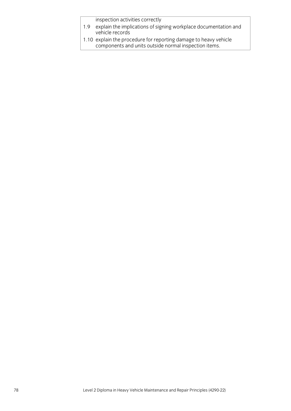inspection activities correctly

- 1.9 explain the implications of signing workplace documentation and vehicle records
- 1.10 explain the procedure for reporting damage to heavy vehicle components and units outside normal inspection items.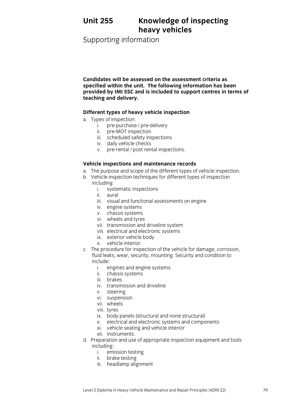# **Unit 255 Knowledge of inspecting heavy vehicles**

Supporting information

**Candidates will be assessed on the assessment criteria as specified within the unit. The following information has been provided by IMI SSC and is included to support centres in terms of teaching and delivery.**

#### **Different types of heavy vehicle inspection**

- a. Types of inspection:
	- i. pre-purchase / pre-delivery
	- ii. pre-MOT inspection
	- iii. scheduled safety inspections
	- iv. daily vehicle checks
	- v. pre-rental / post rental inspections.

## **Vehicle inspections and maintenance records**

- a. The purpose and scope of the different types of vehicle inspection.
- b. Vehicle inspection techniques for different types of inspection including:
	- i. systematic inspections
	- ii. aural
	- iii. visual and functional assessments on engine
	- iv. engine systems
	- v. chassis systems
	- vi. wheels and tyres
	- vii. transmission and driveline system
	- viii. electrical and electronic systems
	- ix. exterior vehicle body
	- x. vehicle interior.
- c. The procedure for inspection of the vehicle for damage, corrosion, fluid leaks, wear, security, mounting. Security and condition to include:
	- i. engines and engine systems
	- ii. chassis systems
	- iii. brakes
	- iv. transmission and driveline
	- v. steering
	- vi. suspension
	- vii. wheels
	- viii. tyres
	- ix. body panels (structural and none structural)
	- x. electrical and electronic systems and components
	- xi. vehicle seating and vehicle interior
	- xii. instruments.
- d. Preparation and use of appropriate inspection equipment and tools including:
	- i. emission testing
	- ii. brake testing
	- iii. headlamp alignment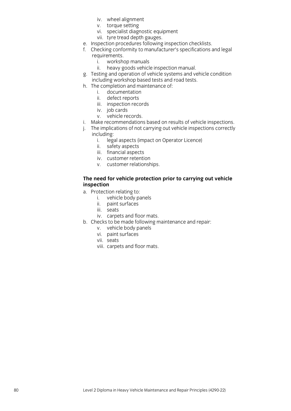- iv. wheel alignment
- v. torque setting
- vi. specialist diagnostic equipment
- vii. tyre tread depth gauges.
- e. Inspection procedures following inspection checklists.
- f. Checking conformity to manufacturer's specifications and legal requirements.<br>i. worksho
	- i. workshop manuals<br>ii. heavy goods vehicle
	- heavy goods vehicle inspection manual.
- g. Testing and operation of vehicle systems and vehicle condition including workshop based tests and road tests.
- h. The completion and maintenance of:
	- i. documentation
	- ii. defect reports
	- iii. inspection records
	- iv. job cards
	- v. vehicle records.
- i. Make recommendations based on results of vehicle inspections.
- j. The implications of not carrying out vehicle inspections correctly including:
	- i. legal aspects (impact on Operator Licence)
	- ii. safety aspects
	- iii. financial aspects
	- iv. customer retention
	- v. customer relationships.

#### **The need for vehicle protection prior to carrying out vehicle inspection**

- a. Protection relating to:
	- i. vehicle body panels
	- ii. paint surfaces
	- iii. seats
	- iv. carpets and floor mats.
- b. Checks to be made following maintenance and repair:
	- v. vehicle body panels
	- vi. paint surfaces
	- vii. seats
	- viii. carpets and floor mats.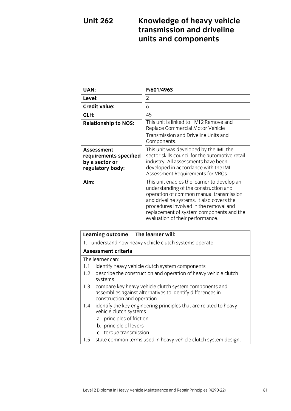## **Unit 262 Knowledge of heavy vehicle transmission and driveline units and components**

| <b>UAN:</b>                                                                       | F/601/4963                                                                                                                                                                                                                                                                                             |
|-----------------------------------------------------------------------------------|--------------------------------------------------------------------------------------------------------------------------------------------------------------------------------------------------------------------------------------------------------------------------------------------------------|
| Level:                                                                            | 2                                                                                                                                                                                                                                                                                                      |
| <b>Credit value:</b>                                                              | 6                                                                                                                                                                                                                                                                                                      |
| GLH:                                                                              | 45                                                                                                                                                                                                                                                                                                     |
| <b>Relationship to NOS:</b>                                                       | This unit is linked to HV12 Remove and<br>Replace Commercial Motor Vehicle<br>Transmission and Driveline Units and<br>Components.                                                                                                                                                                      |
| <b>Assessment</b><br>requirements specified<br>by a sector or<br>regulatory body: | This unit was developed by the IMI, the<br>sector skills council for the automotive retail<br>industry. All assessments have been<br>developed in accordance with the IMI<br>Assessment Requirements for VRQs.                                                                                         |
| Aim:                                                                              | This unit enables the learner to develop an<br>understanding of the construction and<br>operation of common manual transmission<br>and driveline systems. It also covers the<br>procedures involved in the removal and<br>replacement of system components and the<br>evaluation of their performance. |

|                  | Learning outcome                                                                                                                                   | The learner will:                                                 |  |
|------------------|----------------------------------------------------------------------------------------------------------------------------------------------------|-------------------------------------------------------------------|--|
|                  | 1. understand how heavy vehicle clutch systems operate                                                                                             |                                                                   |  |
|                  | Assessment criteria                                                                                                                                |                                                                   |  |
| The learner can: |                                                                                                                                                    |                                                                   |  |
| 1.1              | identify heavy vehicle clutch system components                                                                                                    |                                                                   |  |
| $1.2\,$          | describe the construction and operation of heavy vehicle clutch<br>systems                                                                         |                                                                   |  |
| 1.3              | compare key heavy vehicle clutch system components and<br>assemblies against alternatives to identify differences in<br>construction and operation |                                                                   |  |
| 1.4              | vehicle clutch systems                                                                                                                             | identify the key engineering principles that are related to heavy |  |
|                  | a. principles of friction                                                                                                                          |                                                                   |  |
|                  | b. principle of levers                                                                                                                             |                                                                   |  |
|                  | c. torque transmission                                                                                                                             |                                                                   |  |
| 1.5              |                                                                                                                                                    | state common terms used in heavy vehicle clutch system design.    |  |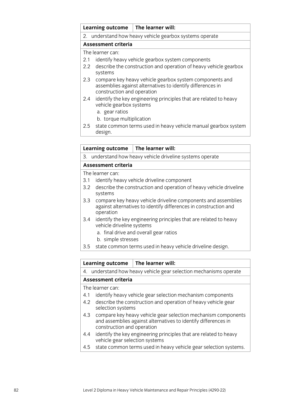|                  | <b>Learning outcome</b>                                                                                                                             | The learner will:                                                 |  |
|------------------|-----------------------------------------------------------------------------------------------------------------------------------------------------|-------------------------------------------------------------------|--|
|                  | 2. understand how heavy vehicle gearbox systems operate                                                                                             |                                                                   |  |
|                  | <b>Assessment criteria</b>                                                                                                                          |                                                                   |  |
|                  | The learner can:                                                                                                                                    |                                                                   |  |
| 2.1              | identify heavy vehicle gearbox system components                                                                                                    |                                                                   |  |
| $2.2\phantom{0}$ | describe the construction and operation of heavy vehicle gearbox<br>systems                                                                         |                                                                   |  |
| 2.3              | compare key heavy vehicle gearbox system components and<br>assemblies against alternatives to identify differences in<br>construction and operation |                                                                   |  |
| 2.4              | vehicle gearbox systems                                                                                                                             | identify the key engineering principles that are related to heavy |  |
|                  | a. gear ratios                                                                                                                                      |                                                                   |  |
|                  |                                                                                                                                                     |                                                                   |  |

- b. torque multiplication
- 2.5 state common terms used in heavy vehicle manual gearbox system design.

#### **Learning outcome The learner will:**

3. understand how heavy vehicle driveline systems operate

#### **Assessment criteria**

The learner can:

- 3.1 identify heavy vehicle driveline component
- 3.2 describe the construction and operation of heavy vehicle driveline systems
- 3.3 compare key heavy vehicle driveline components and assemblies against alternatives to identify differences in construction and operation
- 3.4 identify the key engineering principles that are related to heavy vehicle driveline systems
	- a. final drive and overall gear ratios
	- b. simple stresses
- 3.5 state common terms used in heavy vehicle driveline design.

#### **Learning outcome The learner will:**

4. understand how heavy vehicle gear selection mechanisms operate

#### **Assessment criteria**

The learner can:

- 4.1 identify heavy vehicle gear selection mechanism components
- 4.2 describe the construction and operation of heavy vehicle gear selection systems
- 4.3 compare key heavy vehicle gear selection mechanism components and assemblies against alternatives to identify differences in construction and operation
- 4.4 identify the key engineering principles that are related to heavy vehicle gear selection systems
- 4.5 state common terms used in heavy vehicle gear selection systems.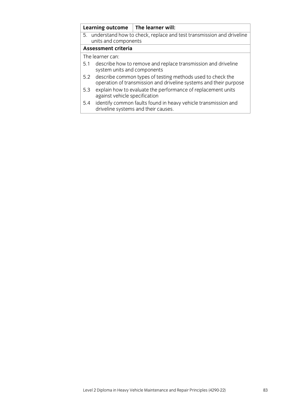|     |                                                                                                                                 | Learning outcome $\vert$ The learner will:                                                            |  |
|-----|---------------------------------------------------------------------------------------------------------------------------------|-------------------------------------------------------------------------------------------------------|--|
|     | 5. understand how to check, replace and test transmission and driveline                                                         |                                                                                                       |  |
|     | units and components                                                                                                            |                                                                                                       |  |
|     | <b>Assessment criteria</b>                                                                                                      |                                                                                                       |  |
|     | The learner can:                                                                                                                |                                                                                                       |  |
| 5.1 |                                                                                                                                 | describe how to remove and replace transmission and driveline                                         |  |
|     | system units and components                                                                                                     |                                                                                                       |  |
| 5.2 | describe common types of testing methods used to check the<br>operation of transmission and driveline systems and their purpose |                                                                                                       |  |
| 5.3 | against vehicle specification                                                                                                   | explain how to evaluate the performance of replacement units                                          |  |
| 5.4 |                                                                                                                                 | identify common faults found in heavy vehicle transmission and<br>driveline systems and their causes. |  |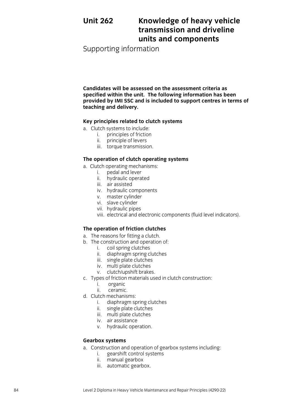## **Unit 262 Knowledge of heavy vehicle transmission and driveline units and components**

Supporting information

**Candidates will be assessed on the assessment criteria as specified within the unit. The following information has been provided by IMI SSC and is included to support centres in terms of teaching and delivery.**

#### **Key principles related to clutch systems**

- a. Clutch systems to include:
	- i. principles of friction
	- ii. principle of levers
	- iii. torque transmission.

#### **The operation of clutch operating systems**

- a. Clutch operating mechanisms:
	- i. pedal and lever
	- ii. hydraulic operated
	- iii. air assisted
	- iv. hydraulic components
	- v. master cylinder
	- vi. slave cylinder
	- vii. hydraulic pipes
	- viii. electrical and electronic components (fluid level indicators).

## **The operation of friction clutches**

- a. The reasons for fitting a clutch.
- b. The construction and operation of:
	- i. coil spring clutches
	- ii. diaphragm spring clutches
	- iii. single plate clutches
	- iv. multi plate clutches
	- v. clutch/upshift brakes.
- c. Types of friction materials used in clutch construction:
	- i. organic
	- ii. ceramic.
- d. Clutch mechanisms:
	- i. diaphragm spring clutches
	- ii. single plate clutches
	- iii. multi plate clutches
	- iv. air assistance
	- v. hydraulic operation.

#### **Gearbox systems**

- a. Construction and operation of gearbox systems including:
	- i. gearshift control systems
	- ii. manual gearbox
	- iii. automatic gearbox.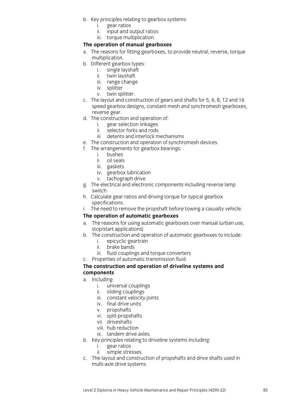- b. Key principles relating to gearbox systems:
	- i. gear ratios
	- ii. input and output ratios
	- iii. torque multiplication.

#### **The operation of manual gearboxes**

- a. The reasons for fitting gearboxes, to provide neutral, reverse, torque multiplication.
- b. Different gearbox types:
	- i. single layshaft
	- ii. twin layshaft
	- iii. range change
	- iv. splitter
	- v. twin splitter.
- c. The layout and construction of gears and shafts for 5, 6, 8, 12 and 16 speed gearbox designs, constant mesh and synchromesh gearboxes, reverse gear.
- d. The construction and operation of:
	- i. gear selection linkages
	- ii. selector forks and rods
	- iii. detents and interlock mechanisms
- e. The construction and operation of synchromesh devices.
- f. The arrangements for gearbox bearings:
	- i. bushes
	- ii. oil seals
	- iii. gaskets
	- iv. gearbox lubrication
	- v. tachograph drive
- g. The electrical and electronic components including reverse lamp switch.
- h. Calculate gear ratios and driving torque for typical gearbox specifications.
- i. The need to remove the propshaft before towing a casualty vehicle.

#### **The operation of automatic gearboxes**

- a. The reasons for using automatic gearboxes over manual (urban use, stop/start applications)
- b. The construction and operation of automatic gearboxes to include:
	- i. epicyclic geartrain
	- ii. brake bands
	- iii. fluid couplings and torque converters
- c. Properties of automatic transmission fluid.

#### **The construction and operation of driveline systems and components**

- a. Including:
	- i. universal couplings
	- ii. sliding couplings
	- iii. constant velocity joints
	- iv. final drive units
	- v. propshafts
	- vi. split-propshafts
	- vii. driveshafts
	- viii. hub reduction
	- ix. tandem drive axles.
- b. Key principles relating to driveline systems including:
	- i. gear ratios
	- ii. simple stresses.
- c. The layout and construction of propshafts and drive shafts used in multi-axle drive systems.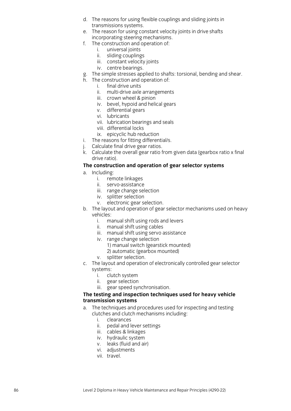- d. The reasons for using flexible couplings and sliding joints in transmissions systems.
- e. The reason for using constant velocity joints in drive shafts incorporating steering mechanisms.
- f. The construction and operation of:
	- i. universal joints
	- ii. sliding couplings
	- iii. constant velocity joints
	- iv. centre bearings .
- g. The simple stresses applied to shafts: torsional, bending and shear.
- h. The construction and operation of:
	- i. final drive units
	- ii. multi -drive axle arrangements
	- iii. crown wheel & pinion
	- iv. bevel, hypoid and helical gears
	- v. differential gears
	- vi. lubricants
	- vii. lubrication bearings and seals
	- viii. differential locks
	- ix. epicyclic hub reduction
- i. The reasons for fitting differential/s .
- j. Calculate final drive gear ratios.
- k. Calculate the overall gear ratio from given data (gearbox ratio x final drive ratio).

#### **The construction and operation of gear selector systems**

- a. Including:
	- i. remote linkages
	- ii. servo -assistance
	- iii. range change selection
	- iv. splitter selection
	- v. electronic gear selection .
- b. The layout and operation of gear selector mechanisms used on heavy vehicles:
	- i. manual shift using rods and levers
	- ii. manual shift using cables
	- iii. manual shift using servo assistance
	- iv. range change selection
		- 1) manual switch (gearstick mounted)
		- 2) automatic (gearbox mounted)
	- v. splitter selection .
- c. The layout and operation of electronically controlled gear selector systems:
	- i. clutch system
	- ii. gear selection
	- iii. gear speed synchroni sation.

#### **The testing and inspection techniques used for heavy vehicle transmission systems**

- a. The techniques and procedures used for inspecting and testing clutches and clutch mechanisms including:
	- i. clearances
	- ii. pedal and lever settings
	- iii. cables & linkages
	- iv. hydraulic system
	- v. leaks (fluid and air)
	- vi. adjustments
	- vii. travel .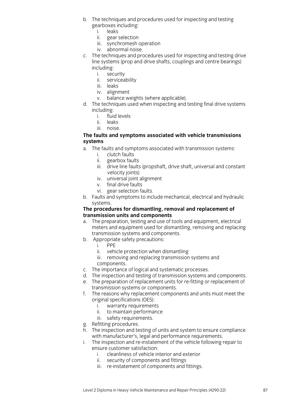- b. The techniques and procedures used for inspecting and testing gearboxes including:
	- i. leaks
	- ii. gear selection
	- iii. synchromesh operation
	- iv. abnormal noise.
- c. The techniques and procedures used for inspecting and testing drive line systems (prop and drive shafts, couplings and centre bearings) including:
	- i. security
	- ii. serviceability
	- iii. leaks
	- iv. alignment
	- v. balance weights (where applicable).
- d. The techniques used when inspecting and testing final drive systems including:
	- i. fluid levels
	- ii. leaks
	- iii. noise.

#### **The faults and symptoms associated with vehicle transmissions systems**

- a. The faults and symptoms associated with transmission systems:
	- i. clutch faults
	- ii. gearbox faults
	- iii. drive line faults (propshaft, drive shaft, universal and constant velocity joints)
	- iv. universal joint alignment
	- v. final drive faults
	- vi. gear selection faults.
- b. Faults and symptoms to include mechanical, electrical and hydraulic systems.

#### **The procedures for dismantling, removal and replacement of transmission units and components**

- a. The preparation, testing and use of tools and equipment, electrical meters and equipment used for dismantling, removing and replacing transmission systems and components.
- b. Appropriate safety precautions:
	- i. PPE
	- ii. vehicle protection when dismantling
	- iii. removing and replacing transmission systems and components.
- c. The importance of logical and systematic processes.
- d. The inspection and testing of transmission systems and components.
- e. The preparation of replacement units for re-fitting or replacement of transmission systems or components.
- f. The reasons why replacement components and units must meet the original specifications (OES):
	- i. warranty requirements
	- ii. to maintain performance
	- iii. safety requirements.
- g. Refitting procedures.
- h. The inspection and testing of units and system to ensure compliance with manufacturer's, legal and performance requirements.
- i. The inspection and re-instatement of the vehicle following repair to ensure customer satisfaction:
	- i. cleanliness of vehicle interior and exterior
	- ii. security of components and fittings
	- iii. re-instatement of components and fittings.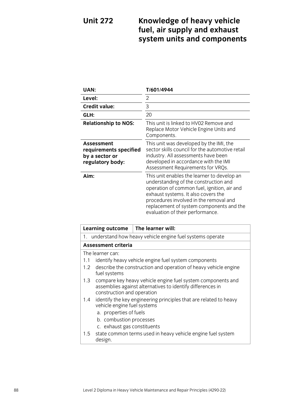# **Unit 272 Knowledge of heavy vehicle fuel, air supply and exhaust system units and components**

| <b>UAN:</b>                                                                       | T/601/4944                                                                                                                                                                                                                                                                                           |
|-----------------------------------------------------------------------------------|------------------------------------------------------------------------------------------------------------------------------------------------------------------------------------------------------------------------------------------------------------------------------------------------------|
| Level:                                                                            | 2                                                                                                                                                                                                                                                                                                    |
| <b>Credit value:</b>                                                              | 3                                                                                                                                                                                                                                                                                                    |
| GLH:                                                                              | 20                                                                                                                                                                                                                                                                                                   |
| <b>Relationship to NOS:</b>                                                       | This unit is linked to HV02 Remove and<br>Replace Motor Vehicle Engine Units and<br>Components.                                                                                                                                                                                                      |
| <b>Assessment</b><br>requirements specified<br>by a sector or<br>regulatory body: | This unit was developed by the IMI, the<br>sector skills council for the automotive retail<br>industry. All assessments have been<br>developed in accordance with the IMI<br>Assessment Requirements for VRQs.                                                                                       |
| Aim:                                                                              | This unit enables the learner to develop an<br>understanding of the construction and<br>operation of common fuel, ignition, air and<br>exhaust systems. It also covers the<br>procedures involved in the removal and<br>replacement of system components and the<br>evaluation of their performance. |

|     | <b>Learning outcome</b>                                                                                                                                 | The learner will:                                                 |  |
|-----|---------------------------------------------------------------------------------------------------------------------------------------------------------|-------------------------------------------------------------------|--|
|     | 1. understand how heavy vehicle engine fuel systems operate                                                                                             |                                                                   |  |
|     | <b>Assessment criteria</b>                                                                                                                              |                                                                   |  |
|     | The learner can:                                                                                                                                        |                                                                   |  |
| 1.1 | identify heavy vehicle engine fuel system components                                                                                                    |                                                                   |  |
| 1.2 | describe the construction and operation of heavy vehicle engine<br>fuel systems                                                                         |                                                                   |  |
| 1.3 | compare key heavy vehicle engine fuel system components and<br>assemblies against alternatives to identify differences in<br>construction and operation |                                                                   |  |
| 1.4 | vehicle engine fuel systems<br>a. properties of fuels<br>b. combustion processes<br>c. exhaust gas constituents                                         | identify the key engineering principles that are related to heavy |  |
| 1.5 | design.                                                                                                                                                 | state common terms used in heavy vehicle engine fuel system       |  |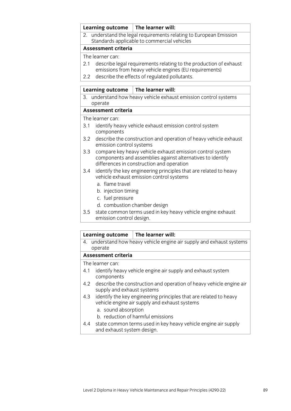| Learning outcome                                                                                                                   | The learner will:                                                                                                 |
|------------------------------------------------------------------------------------------------------------------------------------|-------------------------------------------------------------------------------------------------------------------|
|                                                                                                                                    | 2. understand the legal requirements relating to European Emission<br>Standards applicable to commercial vehicles |
| <b>Assessment criteria</b>                                                                                                         |                                                                                                                   |
| The learner can:                                                                                                                   |                                                                                                                   |
| describe legal requirements relating to the production of exhaust<br>2.1<br>emissions from heavy vehicle engines (EU requirements) |                                                                                                                   |
| 2.2 describe the effects of regulated pollutants.                                                                                  |                                                                                                                   |
|                                                                                                                                    |                                                                                                                   |
| <b>Learning outcome</b>                                                                                                            | The learner will:                                                                                                 |
| operate                                                                                                                            | 3. understand how heavy vehicle exhaust emission control systems                                                  |

#### **Assessment criteria**

#### The learner can:

- 3.1 identify heavy vehicle exhaust emission control system components
- 3.2 describe the construction and operation of heavy vehicle exhaust emission control systems
- 3.3 compare key heavy vehicle exhaust emission control system components and assemblies against alternatives to identify differences in construction and operation
- 3.4 identify the key engineering principles that are related to heavy vehicle exhaust emission control systems
	- a. flame travel
	- b. injection timing
	- c. fuel pressure
	- d. combustion chamber design
- 3.5 state common terms used in key heavy vehicle engine exhaust emission control design.

#### **Learning outcome The learner will:**

4. understand how heavy vehicle engine air supply and exhaust systems operate

#### **Assessment criteria**

The learner can:

- 4.1 identify heavy vehicle engine air supply and exhaust system components
- 4.2 describe the construction and operation of heavy vehicle engine air supply and exhaust systems
- 4.3 identify the key engineering principles that are related to heavy vehicle engine air supply and exhaust systems
	- a. sound absorption
	- b. reduction of harmful emissions
- 4.4 state common terms used in key heavy vehicle engine air supply and exhaust system design.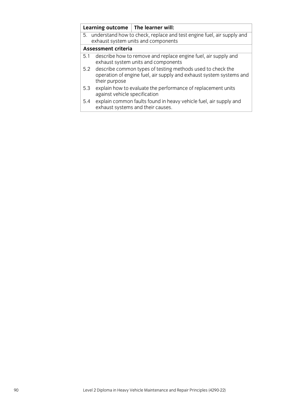|                            |                                                                                                                                                    | Learning outcome $ $ The learner will:                                                                 |  |
|----------------------------|----------------------------------------------------------------------------------------------------------------------------------------------------|--------------------------------------------------------------------------------------------------------|--|
|                            | 5. understand how to check, replace and test engine fuel, air supply and<br>exhaust system units and components                                    |                                                                                                        |  |
| <b>Assessment criteria</b> |                                                                                                                                                    |                                                                                                        |  |
| 5.1                        |                                                                                                                                                    | describe how to remove and replace engine fuel, air supply and<br>exhaust system units and components  |  |
| 5.2                        | describe common types of testing methods used to check the<br>operation of engine fuel, air supply and exhaust system systems and<br>their purpose |                                                                                                        |  |
| 5.3                        | against vehicle specification                                                                                                                      | explain how to evaluate the performance of replacement units                                           |  |
| 5.4                        |                                                                                                                                                    | explain common faults found in heavy vehicle fuel, air supply and<br>exhaust systems and their causes. |  |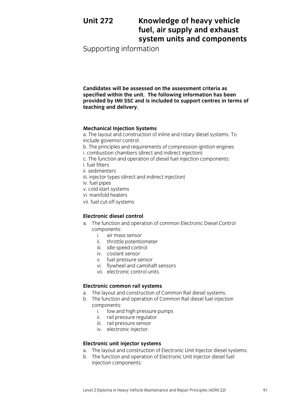## **Unit 272 Knowledge of heavy vehicle fuel, air supply and exhaust system units and components**

Supporting information

**Candidates will be assessed on the assessment criteria as specified within the unit. The following information has been provided by IMI SSC and is included to support centres in terms of teaching and delivery.**

#### **Mechanical Injection Systems**

a. The layout and construction of inline and rotary diesel systems. To include governor control.

b. The principles and requirements of compression ignition engines i. combustion chambers (direct and indirect injection)

- c. The function and operation of diesel fuel injection components:
- i. fuel filters
- ii. sedimenters
- iii. injector types (direct and indirect injection)
- iv. fuel pipes
- v. cold start systems
- vi. manifold heaters
- vii. fuel cut-off systems

#### **Electronic diesel control**

- a. The function and operation of common Electronic Diesel Control components:
	- i. air mass sensor
	- ii. throttle potentiometer
	- iii. idle speed control
	- iv. coolant sensor
	- v. fuel pressure sensor
	- vi. flywheel and camshaft sensors
	- vii. electronic control units.

#### **Electronic common rail systems**

- a. The layout and construction of Common Rail diesel systems.
- b. The function and operation of Common Rail diesel fuel injection components:
	- i. low and high pressure pumps
	- ii. rail pressure regulator
	- iii. rail pressure sensor
	- iv. electronic injector.

#### **Electronic unit injector systems**

- a. The layout and construction of Electronic Unit Injector diesel systems.
- b. The function and operation of Electronic Unit Injector diesel fuel injection components: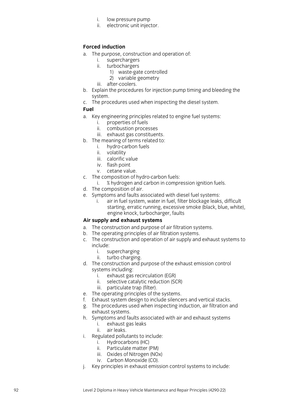- i. low pressure pump
- ii. electronic unit injector .

## **Forced induction**

- a. The purpose, construction and operation of:
	- i. superchargers
	- ii. turbochargers
		- 1) waste -gate controlled
		- 2) variable geometry
	- iii. after -coolers .
- b. Explain the procedures for injection pump timing and bleeding the system .
- c. The procedures used when inspecting the diesel system .
- **Fuel**
- a. Key engineering principles related to engine fuel systems:
	- i. properties of fuels
	- ii. combustion processes
	- iii. exhaust gas constituents .
- b. The meaning of terms related to:
	- i. hydro -carbon fuels
	- ii. volatility
	- iii. calorific value
	- iv. flash point
	- v. cetane value .
- c. The composition of hydro -carbon fuels:
	- i. % hydrogen and carbon in compression ignition fuels .
- d. The composition of air .
- e. Symptoms and faults associated with diesel fuel systems :
	- i. air in fuel system, water in fuel, filter blockage leaks, difficult starting, erratic running, excessive smoke (black, blue, white), engine knock, turbocharger, faults

## **Air supply and exhaust systems**

- a. The construction and purpose of air filtration systems.
- b. The operating principles of air filtration systems.
- c. The construction and operation of air supply and exhaust systems to include:
	- i. supercharging
	- ii. turbo charging .
- d. The construction and purpose of the exhaust emission control systems including:
	- i. exhaust gas recirculation (EGR)
	- ii. selective catalytic reduction (SCR)
	- iii. particulate trap (filter) .
- e. The operating principles of the systems.
- f. Exhaust system design to include silencers and vertical stacks .
- g. The procedures used when inspecting induction, air filtration and exhaust systems .
- h. Symptoms and faults associated with air and exhaust systems
	- i. exhaust gas leaks
	- ii. air leaks .
- i. Regulated pollutants to include:
	- i. Hydrocarbons (HC)
	- ii. Particulate matter (PM)
	- iii. Oxides of Nitrogen (NOx)
	- iv. Carbon Monoxide (CO) .
- j. Key principles in exhaust emission control systems to include: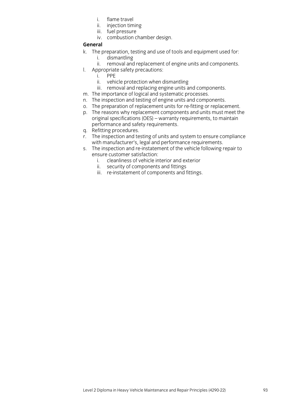- i. flame travel
- ii. injection timing
- iii. fuel pressure
- iv. combustion chamber design.

#### **General**

- k. The preparation, testing and use of tools and equipment used for:
	- i. dismantling
	- ii. removal and replacement of engine units and components.
- l. Appropriate safety precautions:
	- i. PPE
	- ii. vehicle protection when dismantling
	- iii. removal and replacing engine units and components.
- m. The importance of logical and systematic processes.
- n. The inspection and testing of engine units and components.
- o. The preparation of replacement units for re-fitting or replacement.
- p. The reasons why replacement components and units must meet the original specifications (OES) – warranty requirements, to maintain performance and safety requirements.
- q. Refitting procedures.<br>r. The inspection and te
- The inspection and testing of units and system to ensure compliance with manufacturer's, legal and performance requirements.
- s. The inspection and re-instatement of the vehicle following repair to ensure customer satisfaction:
	- i. cleanliness of vehicle interior and exterior
	- ii. security of components and fittings
	- iii. re-instatement of components and fittings.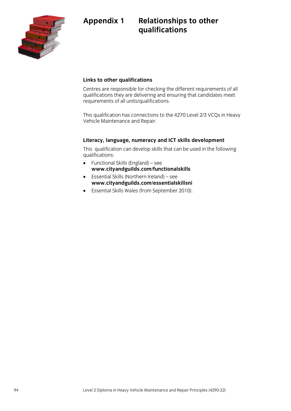



## **Links to other qualifications**

Centres are responsible for checking the different requirements of all qualifications they are delivering and ensuring that candidates meet requirements of all units/qualifications.

This qualification has connections to the 4270 Level 2/3 VCQs in Heavy Vehicle Maintenance and Repair.

#### **Literacy, language, numeracy and ICT skills development**

This qualification can develop skills that can be used in the following qualifications:

- Functional Skills (England) see **[www.cityandguilds.com/functionalskills](http://www.cityandguilds.com/functionalskills)**
- Essential Skills (Northern Ireland) see **[www.cityandguilds.com/essentialskillsni](http://www.cityandguilds.com/essentialskillsni)**
- Essential Skills Wales (from September 2010).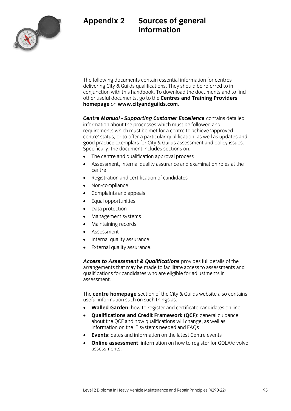## **Appendix 2 Sources of general information**



The following documents contain essential information for centres delivering City & Guilds qualifications. They should be referred to in conjunction with this handbook. To download the documents and to find other useful documents, go to the **Centres and Training Providers homepage** on **[www.cityandguilds.com](http://www.cityandguilds.com/)**.

*Centre Manual - Supporting Customer Excellence* contains detailed information about the processes which must be followed and requirements which must be met for a centre to achieve 'approved centre' status, or to offer a particular qualification, as well as updates and good practice exemplars for City & Guilds assessment and policy issues. Specifically, the document includes sections on:

- The centre and qualification approval process
- Assessment, internal quality assurance and examination roles at the centre
- Registration and certification of candidates
- Non-compliance
- Complaints and appeals
- Equal opportunities
- Data protection
- Management systems
- Maintaining records
- Assessment
- Internal quality assurance
- External quality assurance.

*Access to Assessment & Qualifications* provides full details of the arrangements that may be made to facilitate access to assessments and qualifications for candidates who are eligible for adjustments in assessment.

The **centre homepage** section of the City & Guilds website also contains useful information such on such things as:

- **Walled Garden:** how to register and certificate candidates on line
- **Qualifications and Credit Framework (QCF)**: general guidance about the QCF and how qualifications will change, as well as information on the IT systems needed and FAQs
- **Events**: dates and information on the latest Centre events
- **Online assessment**: information on how to register for GOLA/e-volve assessments.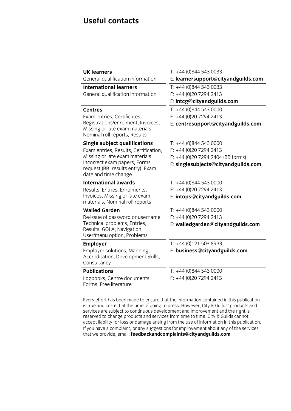# **Useful contacts**

| <b>UK learners</b><br>General qualification information                                                                                                                                                       | $T: +44(0)8445430033$<br>E: learnersupport@cityandguilds.com                                                                |
|---------------------------------------------------------------------------------------------------------------------------------------------------------------------------------------------------------------|-----------------------------------------------------------------------------------------------------------------------------|
| <b>International learners</b><br>General qualification information                                                                                                                                            | $T: +44(0)8445430033$<br>$F: +44(0)2072942413$<br>E: intcg@cityandguilds.com                                                |
| <b>Centres</b><br>Exam entries, Certificates,<br>Registrations/enrolment, Invoices,<br>Missing or late exam materials,<br>Nominal roll reports, Results                                                       | $T: +44(0)8445430000$<br>$F: +44(0)2072942413$<br>E: centresupport@cityandguilds.com                                        |
| <b>Single subject qualifications</b><br>Exam entries, Results, Certification,<br>Missing or late exam materials,<br>Incorrect exam papers, Forms<br>request (BB, results entry), Exam<br>date and time change | $T: +44(0)8445430000$<br>$F: +44(0)2072942413$<br>F: +44 (0) 20 7294 2404 (BB forms)<br>E: singlesubjects@cityandguilds.com |
| <b>International awards</b><br>Results, Entries, Enrolments,<br>Invoices, Missing or late exam<br>materials, Nominal roll reports                                                                             | $T: +44(0)8445430000$<br>$F: +44(0)2072942413$<br>E: intops@cityandguilds.com                                               |
| <b>Walled Garden</b><br>Re-issue of password or username,<br>Technical problems, Entries,<br>Results, GOLA, Navigation,<br>User/menu option, Problems                                                         | $T: +44(0)8445430000$<br>$F: +44(0)2072942413$<br>E: walledgarden@cityandguilds.com                                         |
| <b>Employer</b><br>Employer solutions, Mapping,<br>Accreditation, Development Skills,<br>Consultancy                                                                                                          | T: +44 (0)121 503 8993<br>E: business@cityandguilds.com                                                                     |
| <b>Publications</b><br>Logbooks, Centre documents,<br>Forms, Free literature                                                                                                                                  | $T: +44$ (0)844 543 0000<br>$F: +44(0)2072942413$                                                                           |

Every effort has been made to ensure that the information contained in this publication is true and correct at the time of going to press. However, City & Guilds' products and services are subject to continuous development and improvement and the right is reserved to change products and services from time to time. City & Guilds cannot accept liability for loss or damage arising from the use of information in this publication. If you have a complaint, or any suggestions for improvement about any of the services that we provide, email: **feedbackandcomplaints@cityandguilds.com**